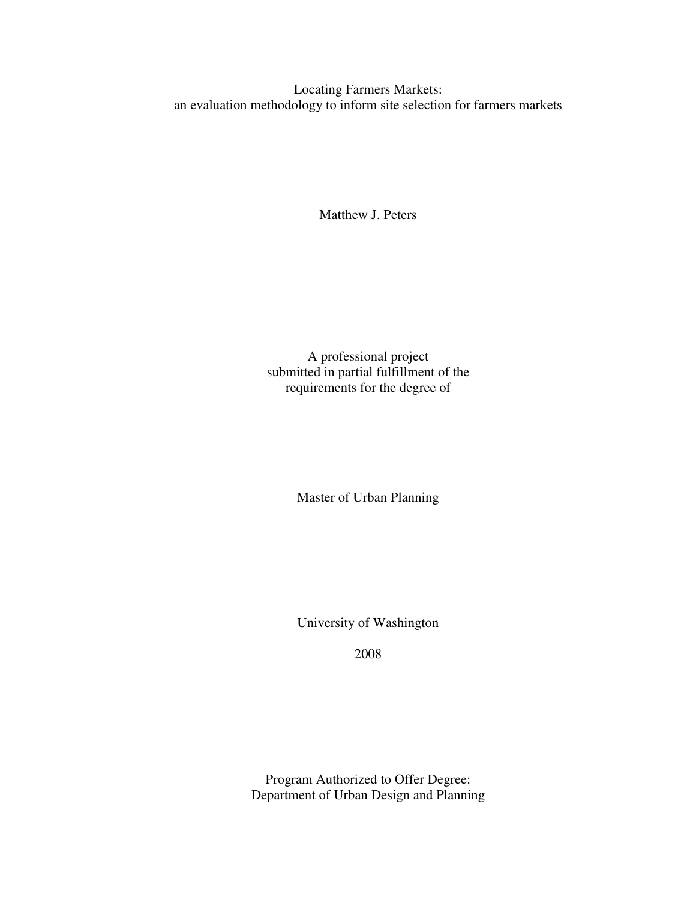Locating Farmers Markets: an evaluation methodology to inform site selection for farmers markets

Matthew J. Peters

A professional project submitted in partial fulfillment of the requirements for the degree of

Master of Urban Planning

University of Washington

2008

Program Authorized to Offer Degree: Department of Urban Design and Planning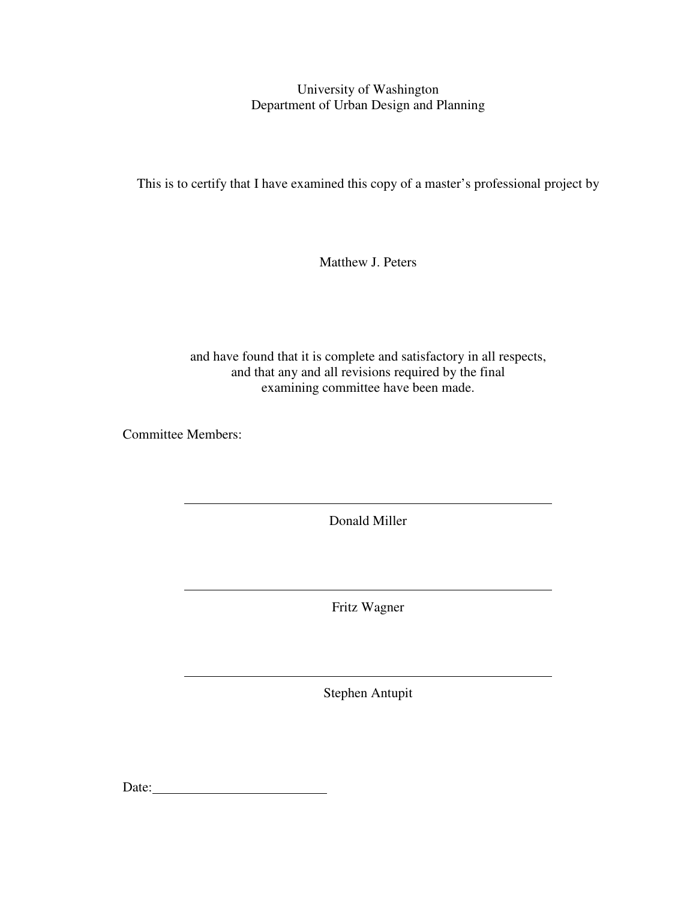University of Washington Department of Urban Design and Planning

This is to certify that I have examined this copy of a master's professional project by

Matthew J. Peters

and have found that it is complete and satisfactory in all respects, and that any and all revisions required by the final examining committee have been made.

Committee Members:

 $\overline{a}$ 

 $\overline{a}$ 

 $\overline{a}$ 

Donald Miller

Fritz Wagner

Stephen Antupit

Date: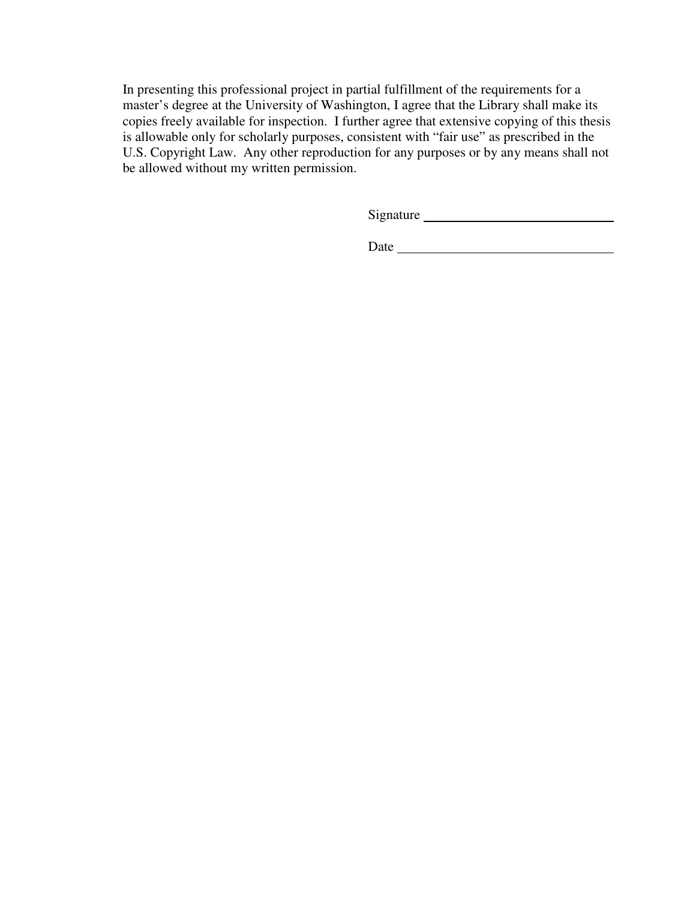In presenting this professional project in partial fulfillment of the requirements for a master's degree at the University of Washington, I agree that the Library shall make its copies freely available for inspection. I further agree that extensive copying of this thesis is allowable only for scholarly purposes, consistent with "fair use" as prescribed in the U.S. Copyright Law. Any other reproduction for any purposes or by any means shall not be allowed without my written permission.

Signature

Date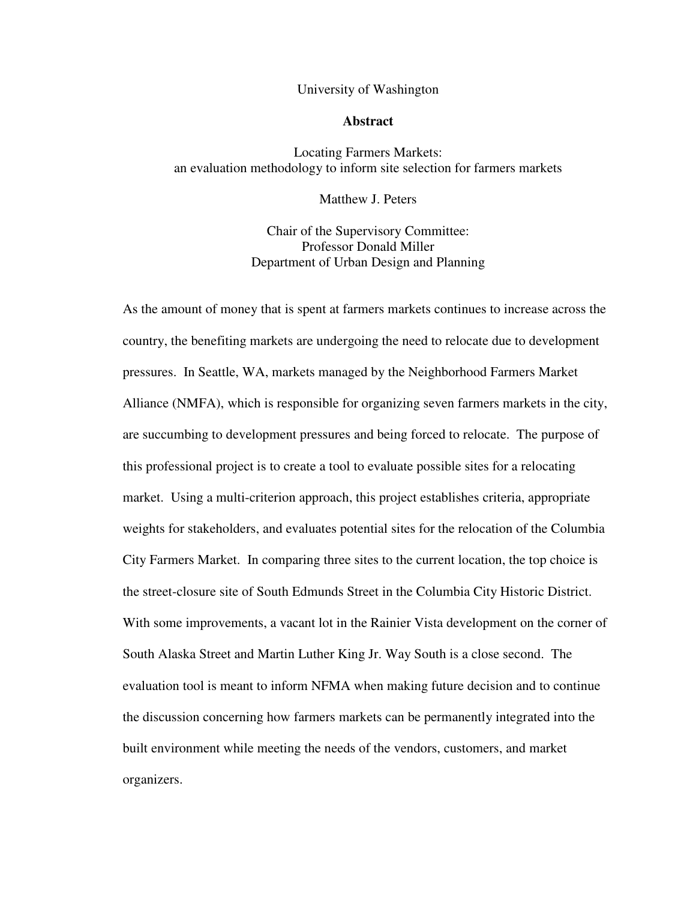## University of Washington

## **Abstract**

Locating Farmers Markets: an evaluation methodology to inform site selection for farmers markets

Matthew J. Peters

Chair of the Supervisory Committee: Professor Donald Miller Department of Urban Design and Planning

As the amount of money that is spent at farmers markets continues to increase across the country, the benefiting markets are undergoing the need to relocate due to development pressures. In Seattle, WA, markets managed by the Neighborhood Farmers Market Alliance (NMFA), which is responsible for organizing seven farmers markets in the city, are succumbing to development pressures and being forced to relocate. The purpose of this professional project is to create a tool to evaluate possible sites for a relocating market. Using a multi-criterion approach, this project establishes criteria, appropriate weights for stakeholders, and evaluates potential sites for the relocation of the Columbia City Farmers Market. In comparing three sites to the current location, the top choice is the street-closure site of South Edmunds Street in the Columbia City Historic District. With some improvements, a vacant lot in the Rainier Vista development on the corner of South Alaska Street and Martin Luther King Jr. Way South is a close second. The evaluation tool is meant to inform NFMA when making future decision and to continue the discussion concerning how farmers markets can be permanently integrated into the built environment while meeting the needs of the vendors, customers, and market organizers.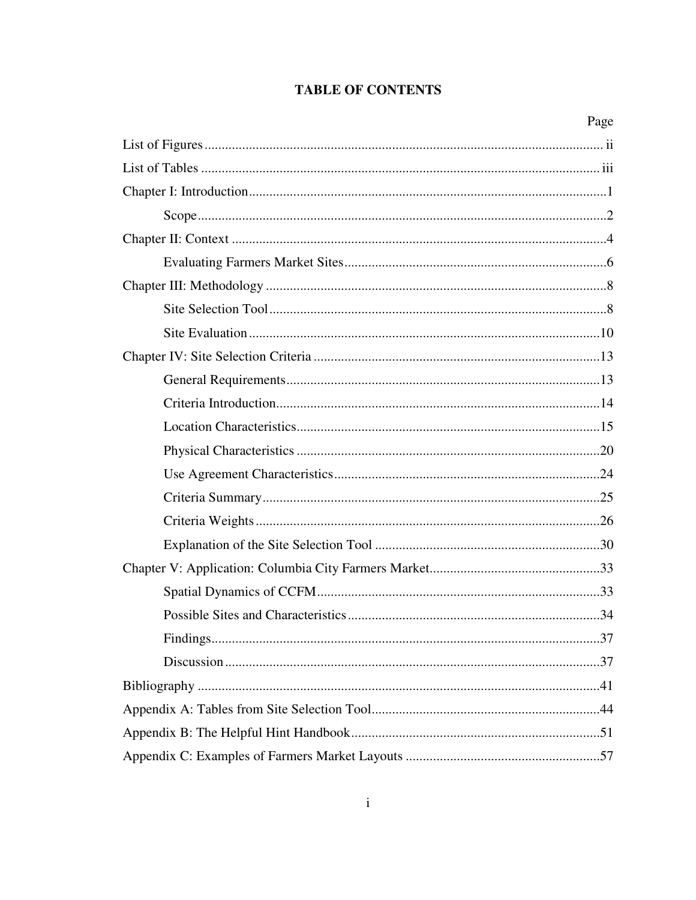# **TABLE OF CONTENTS**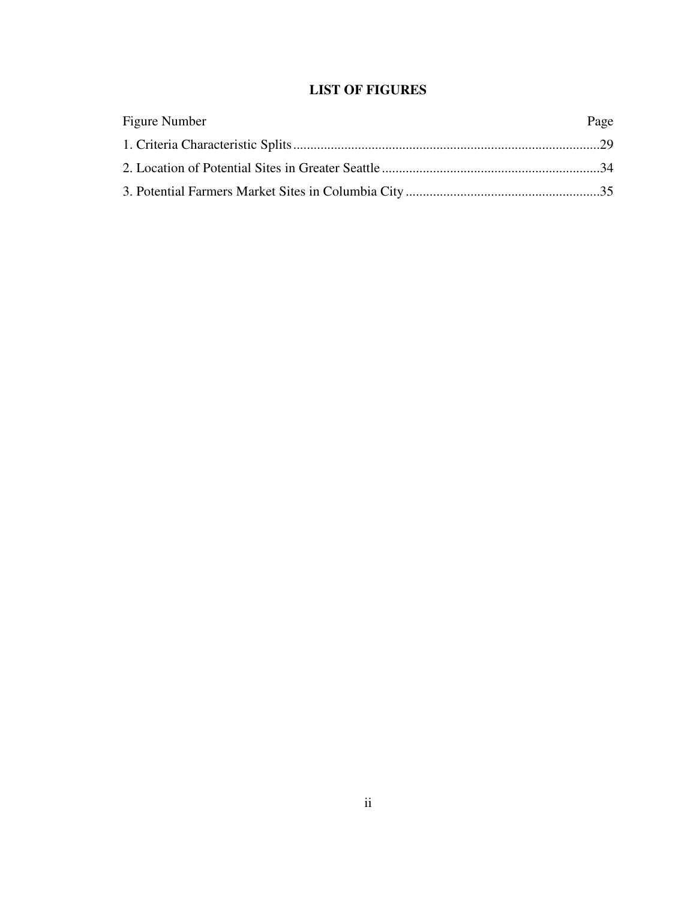# **LIST OF FIGURES**

| Figure Number | Page |
|---------------|------|
|               |      |
|               |      |
|               |      |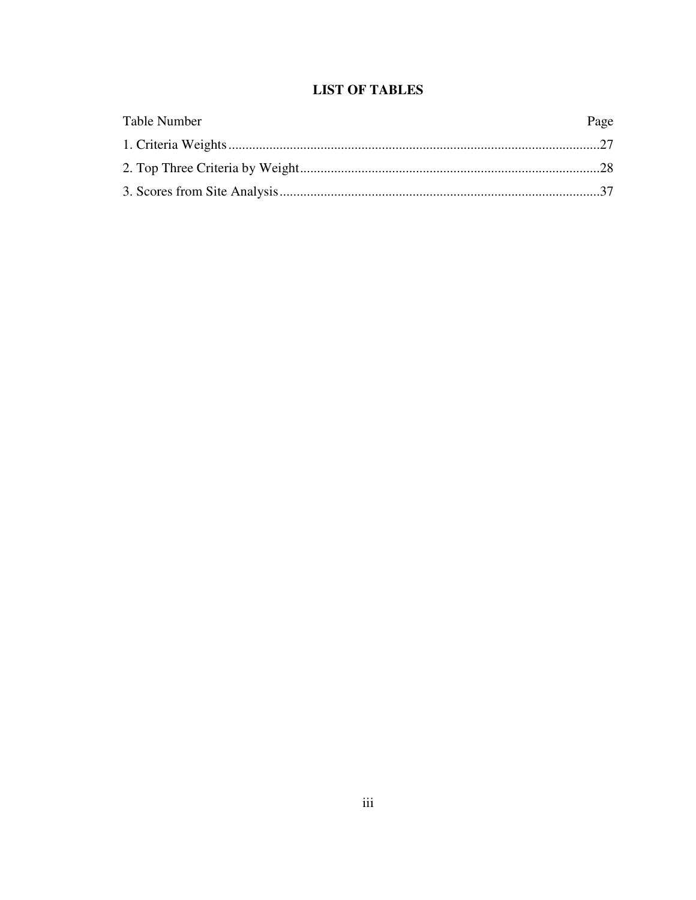# **LIST OF TABLES**

| <b>Table Number</b> | Page |
|---------------------|------|
|                     |      |
|                     |      |
|                     |      |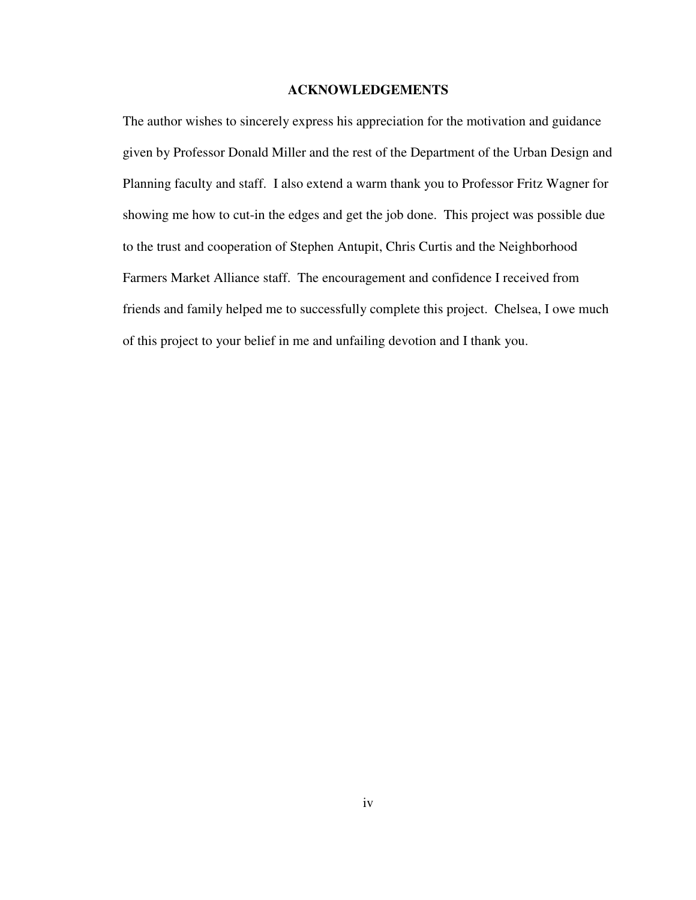# **ACKNOWLEDGEMENTS**

The author wishes to sincerely express his appreciation for the motivation and guidance given by Professor Donald Miller and the rest of the Department of the Urban Design and Planning faculty and staff. I also extend a warm thank you to Professor Fritz Wagner for showing me how to cut-in the edges and get the job done. This project was possible due to the trust and cooperation of Stephen Antupit, Chris Curtis and the Neighborhood Farmers Market Alliance staff. The encouragement and confidence I received from friends and family helped me to successfully complete this project. Chelsea, I owe much of this project to your belief in me and unfailing devotion and I thank you.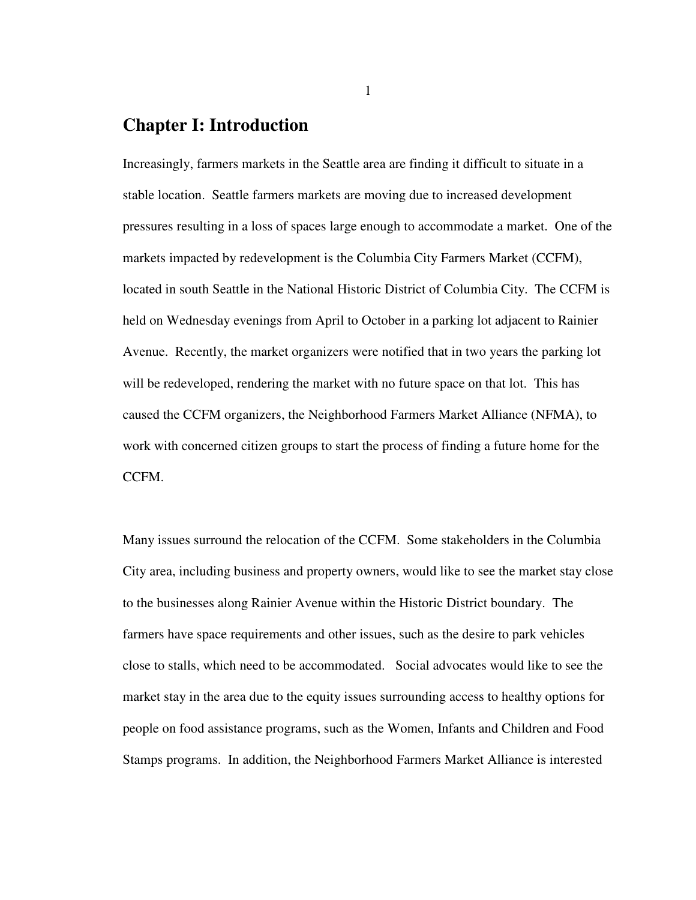# **Chapter I: Introduction**

Increasingly, farmers markets in the Seattle area are finding it difficult to situate in a stable location. Seattle farmers markets are moving due to increased development pressures resulting in a loss of spaces large enough to accommodate a market. One of the markets impacted by redevelopment is the Columbia City Farmers Market (CCFM), located in south Seattle in the National Historic District of Columbia City. The CCFM is held on Wednesday evenings from April to October in a parking lot adjacent to Rainier Avenue. Recently, the market organizers were notified that in two years the parking lot will be redeveloped, rendering the market with no future space on that lot. This has caused the CCFM organizers, the Neighborhood Farmers Market Alliance (NFMA), to work with concerned citizen groups to start the process of finding a future home for the CCFM.

Many issues surround the relocation of the CCFM. Some stakeholders in the Columbia City area, including business and property owners, would like to see the market stay close to the businesses along Rainier Avenue within the Historic District boundary. The farmers have space requirements and other issues, such as the desire to park vehicles close to stalls, which need to be accommodated. Social advocates would like to see the market stay in the area due to the equity issues surrounding access to healthy options for people on food assistance programs, such as the Women, Infants and Children and Food Stamps programs. In addition, the Neighborhood Farmers Market Alliance is interested

1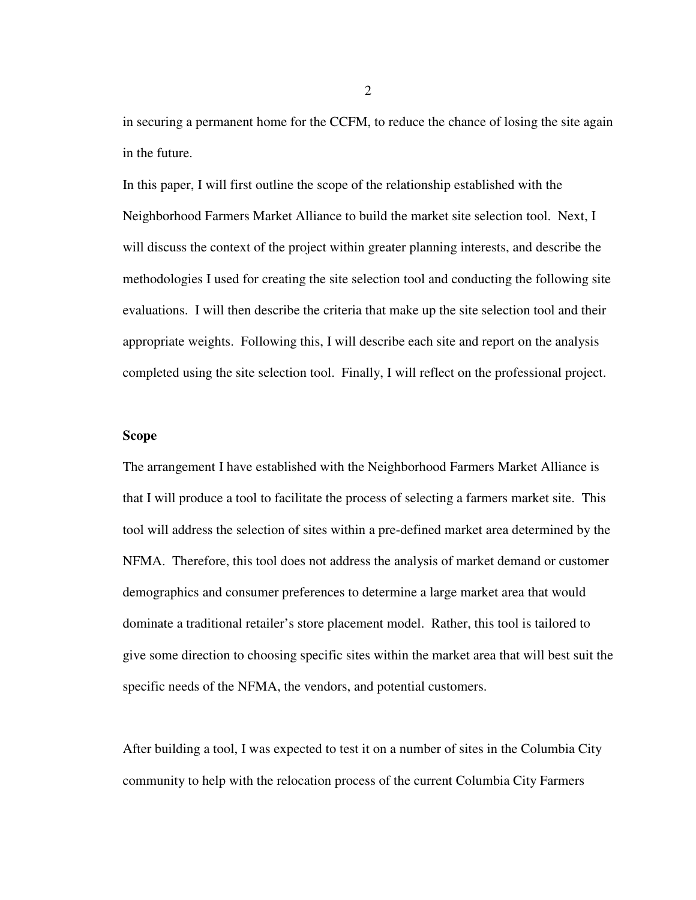in securing a permanent home for the CCFM, to reduce the chance of losing the site again in the future.

In this paper, I will first outline the scope of the relationship established with the Neighborhood Farmers Market Alliance to build the market site selection tool. Next, I will discuss the context of the project within greater planning interests, and describe the methodologies I used for creating the site selection tool and conducting the following site evaluations. I will then describe the criteria that make up the site selection tool and their appropriate weights. Following this, I will describe each site and report on the analysis completed using the site selection tool. Finally, I will reflect on the professional project.

## **Scope**

The arrangement I have established with the Neighborhood Farmers Market Alliance is that I will produce a tool to facilitate the process of selecting a farmers market site. This tool will address the selection of sites within a pre-defined market area determined by the NFMA. Therefore, this tool does not address the analysis of market demand or customer demographics and consumer preferences to determine a large market area that would dominate a traditional retailer's store placement model. Rather, this tool is tailored to give some direction to choosing specific sites within the market area that will best suit the specific needs of the NFMA, the vendors, and potential customers.

After building a tool, I was expected to test it on a number of sites in the Columbia City community to help with the relocation process of the current Columbia City Farmers

2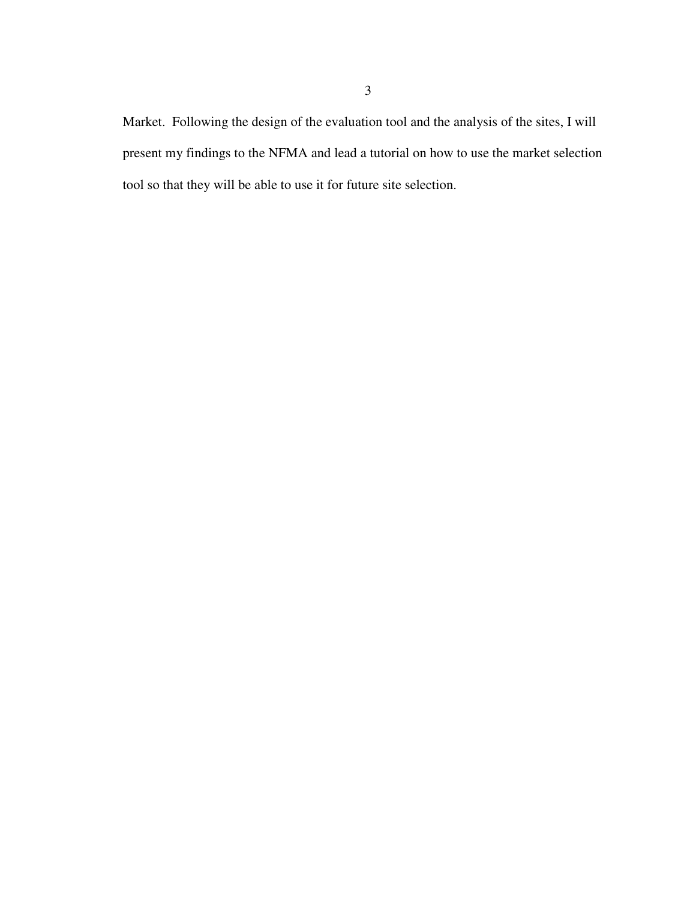Market. Following the design of the evaluation tool and the analysis of the sites, I will present my findings to the NFMA and lead a tutorial on how to use the market selection tool so that they will be able to use it for future site selection.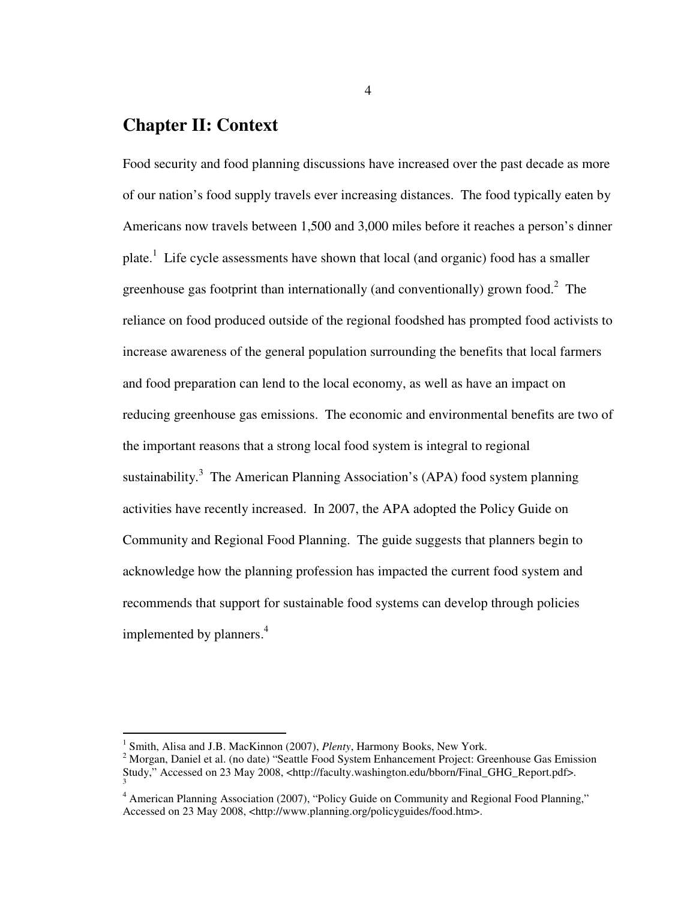# **Chapter II: Context**

Food security and food planning discussions have increased over the past decade as more of our nation's food supply travels ever increasing distances. The food typically eaten by Americans now travels between 1,500 and 3,000 miles before it reaches a person's dinner plate.<sup>1</sup> Life cycle assessments have shown that local (and organic) food has a smaller greenhouse gas footprint than internationally (and conventionally) grown food.<sup>2</sup> The reliance on food produced outside of the regional foodshed has prompted food activists to increase awareness of the general population surrounding the benefits that local farmers and food preparation can lend to the local economy, as well as have an impact on reducing greenhouse gas emissions. The economic and environmental benefits are two of the important reasons that a strong local food system is integral to regional sustainability.<sup>3</sup> The American Planning Association's (APA) food system planning activities have recently increased. In 2007, the APA adopted the Policy Guide on Community and Regional Food Planning. The guide suggests that planners begin to acknowledge how the planning profession has impacted the current food system and recommends that support for sustainable food systems can develop through policies implemented by planners.<sup>4</sup>

 1 Smith, Alisa and J.B. MacKinnon (2007), *Plenty*, Harmony Books, New York.

<sup>&</sup>lt;sup>2</sup> Morgan, Daniel et al. (no date) "Seattle Food System Enhancement Project: Greenhouse Gas Emission Study," Accessed on 23 May 2008, <http://faculty.washington.edu/bborn/Final\_GHG\_Report.pdf>. 3

<sup>&</sup>lt;sup>4</sup> American Planning Association (2007), "Policy Guide on Community and Regional Food Planning," Accessed on 23 May 2008, <http://www.planning.org/policyguides/food.htm>.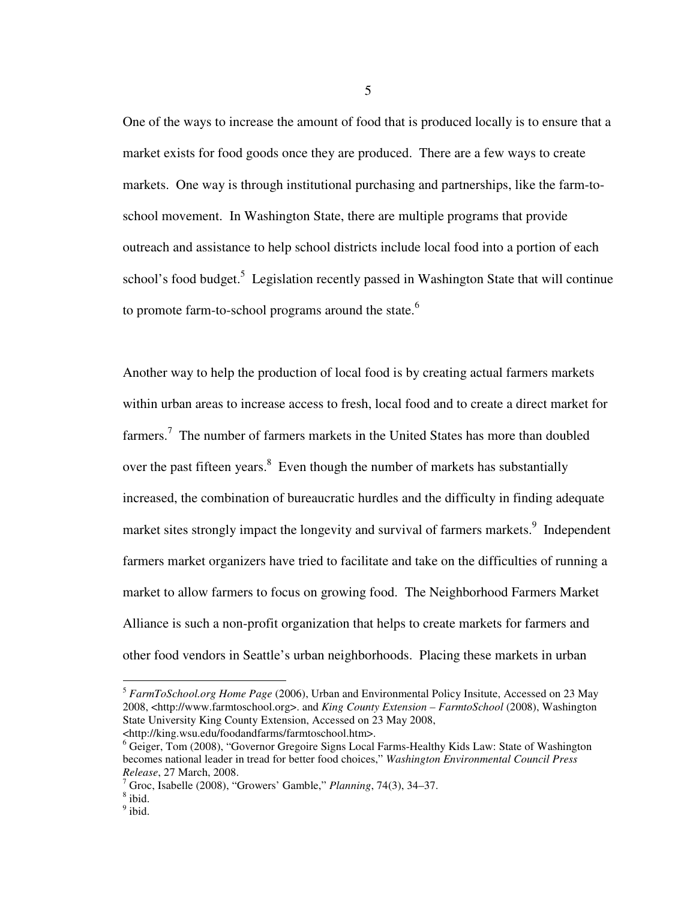One of the ways to increase the amount of food that is produced locally is to ensure that a market exists for food goods once they are produced. There are a few ways to create markets. One way is through institutional purchasing and partnerships, like the farm-toschool movement. In Washington State, there are multiple programs that provide outreach and assistance to help school districts include local food into a portion of each school's food budget.<sup>5</sup> Legislation recently passed in Washington State that will continue to promote farm-to-school programs around the state.<sup>6</sup>

Another way to help the production of local food is by creating actual farmers markets within urban areas to increase access to fresh, local food and to create a direct market for farmers.<sup>7</sup> The number of farmers markets in the United States has more than doubled over the past fifteen years. $8$  Even though the number of markets has substantially increased, the combination of bureaucratic hurdles and the difficulty in finding adequate market sites strongly impact the longevity and survival of farmers markets.<sup>9</sup> Independent farmers market organizers have tried to facilitate and take on the difficulties of running a market to allow farmers to focus on growing food. The Neighborhood Farmers Market Alliance is such a non-profit organization that helps to create markets for farmers and other food vendors in Seattle's urban neighborhoods. Placing these markets in urban

 $\overline{a}$ 

<sup>5</sup> *FarmToSchool.org Home Page* (2006), Urban and Environmental Policy Insitute, Accessed on 23 May 2008, <http://www.farmtoschool.org>. and *King County Extension – FarmtoSchool* (2008), Washington State University King County Extension, Accessed on 23 May 2008, <http://king.wsu.edu/foodandfarms/farmtoschool.htm>.

<sup>&</sup>lt;sup>6</sup> Geiger, Tom (2008), "Governor Gregoire Signs Local Farms-Healthy Kids Law: State of Washington becomes national leader in tread for better food choices," *Washington Environmental Council Press Release*, 27 March, 2008.

<sup>7</sup> Groc, Isabelle (2008), "Growers' Gamble," *Planning*, 74(3), 34–37.

<sup>8</sup> ibid.

 $<sup>9</sup>$  ibid.</sup>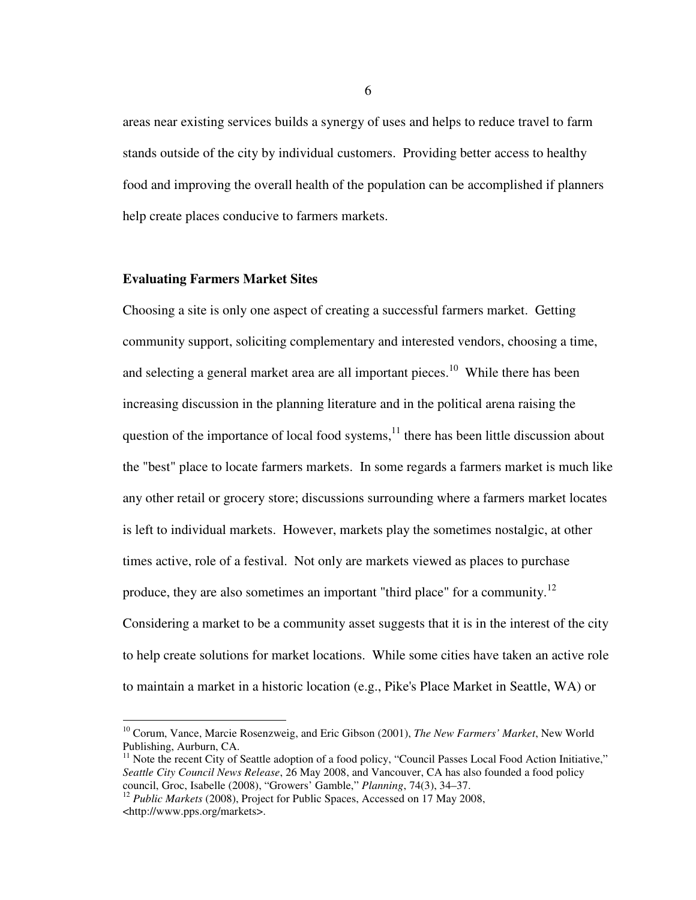areas near existing services builds a synergy of uses and helps to reduce travel to farm stands outside of the city by individual customers. Providing better access to healthy food and improving the overall health of the population can be accomplished if planners help create places conducive to farmers markets.

#### **Evaluating Farmers Market Sites**

 $\overline{a}$ 

Choosing a site is only one aspect of creating a successful farmers market. Getting community support, soliciting complementary and interested vendors, choosing a time, and selecting a general market area are all important pieces.<sup>10</sup> While there has been increasing discussion in the planning literature and in the political arena raising the question of the importance of local food systems, $<sup>11</sup>$  there has been little discussion about</sup> the "best" place to locate farmers markets. In some regards a farmers market is much like any other retail or grocery store; discussions surrounding where a farmers market locates is left to individual markets. However, markets play the sometimes nostalgic, at other times active, role of a festival. Not only are markets viewed as places to purchase produce, they are also sometimes an important "third place" for a community.<sup>12</sup> Considering a market to be a community asset suggests that it is in the interest of the city to help create solutions for market locations. While some cities have taken an active role to maintain a market in a historic location (e.g., Pike's Place Market in Seattle, WA) or

<sup>10</sup> Corum, Vance, Marcie Rosenzweig, and Eric Gibson (2001), *The New Farmers' Market*, New World Publishing, Aurburn, CA.

<sup>&</sup>lt;sup>11</sup> Note the recent City of Seattle adoption of a food policy, "Council Passes Local Food Action Initiative," *Seattle City Council News Release*, 26 May 2008, and Vancouver, CA has also founded a food policy council, Groc, Isabelle (2008), "Growers' Gamble," *Planning*, 74(3), 34–37.

<sup>&</sup>lt;sup>12</sup> Public Markets (2008), Project for Public Spaces, Accessed on 17 May 2008, <http://www.pps.org/markets>.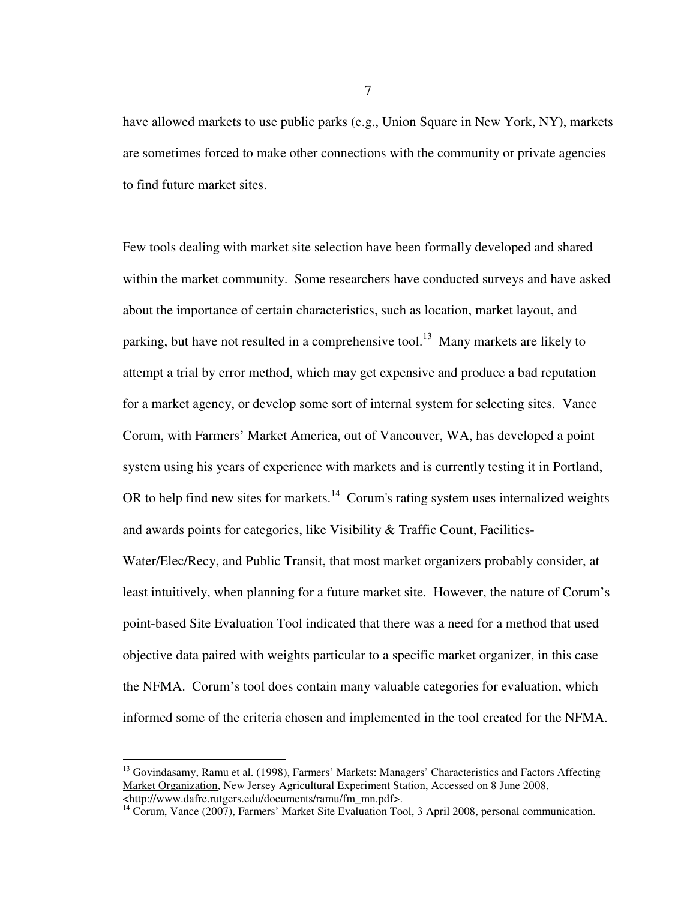have allowed markets to use public parks (e.g., Union Square in New York, NY), markets are sometimes forced to make other connections with the community or private agencies to find future market sites.

Few tools dealing with market site selection have been formally developed and shared within the market community. Some researchers have conducted surveys and have asked about the importance of certain characteristics, such as location, market layout, and parking, but have not resulted in a comprehensive tool.<sup>13</sup> Many markets are likely to attempt a trial by error method, which may get expensive and produce a bad reputation for a market agency, or develop some sort of internal system for selecting sites. Vance Corum, with Farmers' Market America, out of Vancouver, WA, has developed a point system using his years of experience with markets and is currently testing it in Portland, OR to help find new sites for markets.<sup>14</sup> Corum's rating system uses internalized weights and awards points for categories, like Visibility & Traffic Count, Facilities-Water/Elec/Recy, and Public Transit, that most market organizers probably consider, at least intuitively, when planning for a future market site. However, the nature of Corum's point-based Site Evaluation Tool indicated that there was a need for a method that used objective data paired with weights particular to a specific market organizer, in this case the NFMA. Corum's tool does contain many valuable categories for evaluation, which informed some of the criteria chosen and implemented in the tool created for the NFMA.

 $\overline{a}$ 

7

<sup>&</sup>lt;sup>13</sup> Govindasamy, Ramu et al. (1998), Farmers' Markets: Managers' Characteristics and Factors Affecting Market Organization, New Jersey Agricultural Experiment Station, Accessed on 8 June 2008, <http://www.dafre.rutgers.edu/documents/ramu/fm\_mn.pdf>.

<sup>&</sup>lt;sup>14</sup> Corum, Vance (2007), Farmers' Market Site Evaluation Tool, 3 April 2008, personal communication.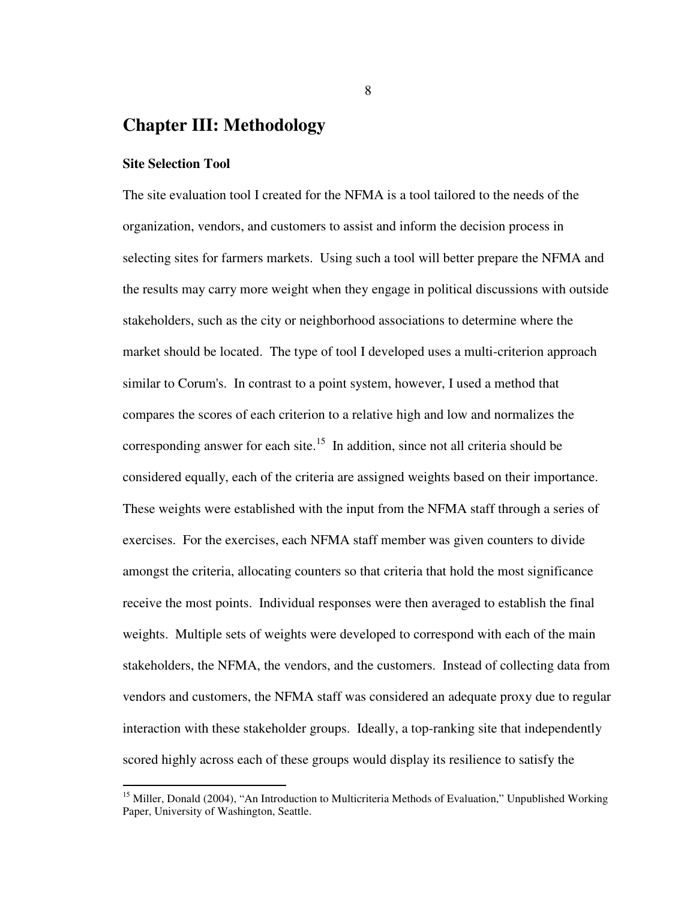# **Chapter III: Methodology**

# **Site Selection Tool**

 $\overline{a}$ 

The site evaluation tool I created for the NFMA is a tool tailored to the needs of the organization, vendors, and customers to assist and inform the decision process in selecting sites for farmers markets. Using such a tool will better prepare the NFMA and the results may carry more weight when they engage in political discussions with outside stakeholders, such as the city or neighborhood associations to determine where the market should be located. The type of tool I developed uses a multi-criterion approach similar to Corum's. In contrast to a point system, however, I used a method that compares the scores of each criterion to a relative high and low and normalizes the corresponding answer for each site.<sup>15</sup> In addition, since not all criteria should be considered equally, each of the criteria are assigned weights based on their importance. These weights were established with the input from the NFMA staff through a series of exercises. For the exercises, each NFMA staff member was given counters to divide amongst the criteria, allocating counters so that criteria that hold the most significance receive the most points. Individual responses were then averaged to establish the final weights. Multiple sets of weights were developed to correspond with each of the main stakeholders, the NFMA, the vendors, and the customers. Instead of collecting data from vendors and customers, the NFMA staff was considered an adequate proxy due to regular interaction with these stakeholder groups. Ideally, a top-ranking site that independently scored highly across each of these groups would display its resilience to satisfy the

8

<sup>&</sup>lt;sup>15</sup> Miller, Donald (2004), "An Introduction to Multicriteria Methods of Evaluation," Unpublished Working Paper, University of Washington, Seattle.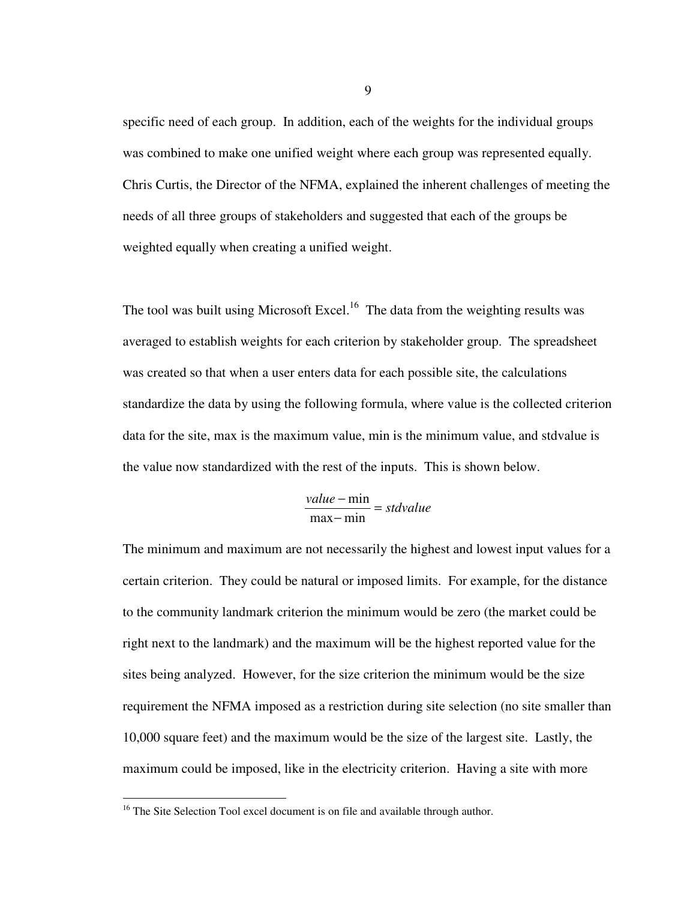specific need of each group. In addition, each of the weights for the individual groups was combined to make one unified weight where each group was represented equally. Chris Curtis, the Director of the NFMA, explained the inherent challenges of meeting the needs of all three groups of stakeholders and suggested that each of the groups be weighted equally when creating a unified weight.

The tool was built using Microsoft Excel.<sup>16</sup> The data from the weighting results was averaged to establish weights for each criterion by stakeholder group. The spreadsheet was created so that when a user enters data for each possible site, the calculations standardize the data by using the following formula, where value is the collected criterion data for the site, max is the maximum value, min is the minimum value, and stdvalue is the value now standardized with the rest of the inputs. This is shown below.

$$
\frac{value - \min}{\max - \min} = stdvalue
$$

The minimum and maximum are not necessarily the highest and lowest input values for a certain criterion. They could be natural or imposed limits. For example, for the distance to the community landmark criterion the minimum would be zero (the market could be right next to the landmark) and the maximum will be the highest reported value for the sites being analyzed. However, for the size criterion the minimum would be the size requirement the NFMA imposed as a restriction during site selection (no site smaller than 10,000 square feet) and the maximum would be the size of the largest site. Lastly, the maximum could be imposed, like in the electricity criterion. Having a site with more

l

<sup>&</sup>lt;sup>16</sup> The Site Selection Tool excel document is on file and available through author.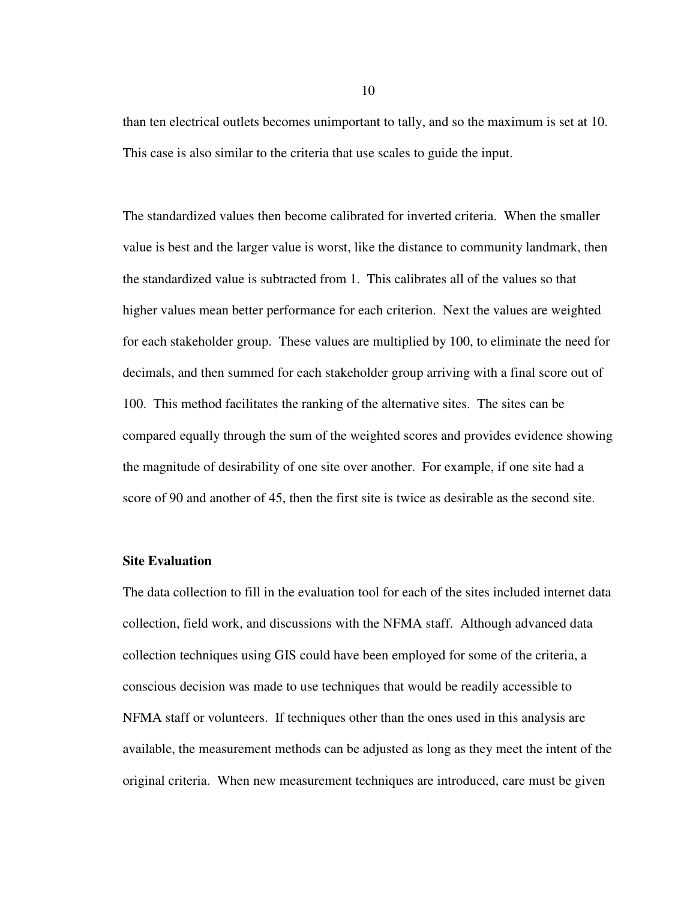than ten electrical outlets becomes unimportant to tally, and so the maximum is set at 10. This case is also similar to the criteria that use scales to guide the input.

The standardized values then become calibrated for inverted criteria. When the smaller value is best and the larger value is worst, like the distance to community landmark, then the standardized value is subtracted from 1. This calibrates all of the values so that higher values mean better performance for each criterion. Next the values are weighted for each stakeholder group. These values are multiplied by 100, to eliminate the need for decimals, and then summed for each stakeholder group arriving with a final score out of 100. This method facilitates the ranking of the alternative sites. The sites can be compared equally through the sum of the weighted scores and provides evidence showing the magnitude of desirability of one site over another. For example, if one site had a score of 90 and another of 45, then the first site is twice as desirable as the second site.

## **Site Evaluation**

The data collection to fill in the evaluation tool for each of the sites included internet data collection, field work, and discussions with the NFMA staff. Although advanced data collection techniques using GIS could have been employed for some of the criteria, a conscious decision was made to use techniques that would be readily accessible to NFMA staff or volunteers. If techniques other than the ones used in this analysis are available, the measurement methods can be adjusted as long as they meet the intent of the original criteria. When new measurement techniques are introduced, care must be given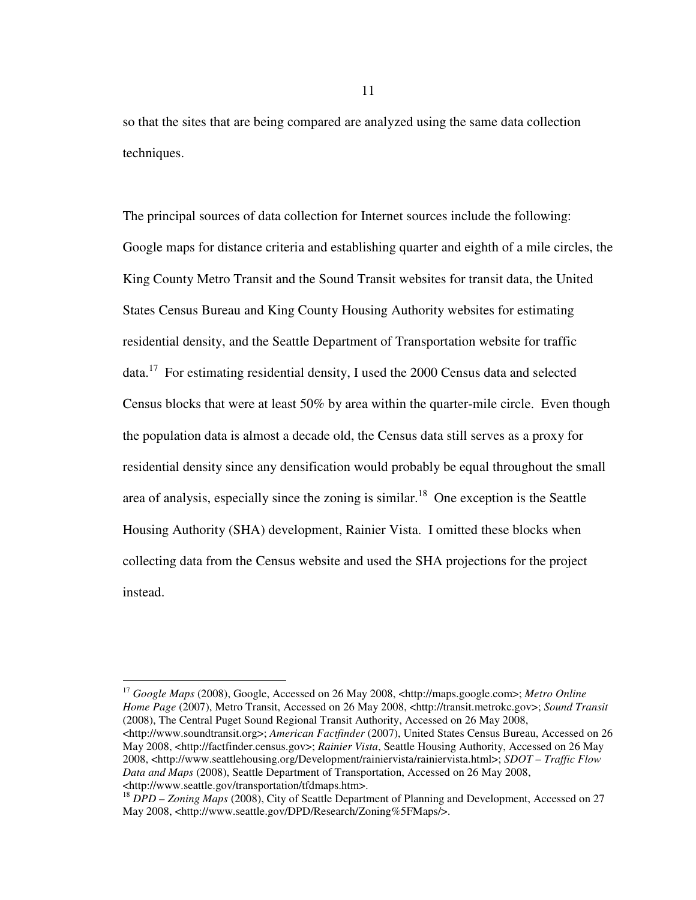so that the sites that are being compared are analyzed using the same data collection techniques.

The principal sources of data collection for Internet sources include the following: Google maps for distance criteria and establishing quarter and eighth of a mile circles, the King County Metro Transit and the Sound Transit websites for transit data, the United States Census Bureau and King County Housing Authority websites for estimating residential density, and the Seattle Department of Transportation website for traffic data.<sup>17</sup> For estimating residential density, I used the 2000 Census data and selected Census blocks that were at least 50% by area within the quarter-mile circle. Even though the population data is almost a decade old, the Census data still serves as a proxy for residential density since any densification would probably be equal throughout the small area of analysis, especially since the zoning is similar.<sup>18</sup> One exception is the Seattle Housing Authority (SHA) development, Rainier Vista. I omitted these blocks when collecting data from the Census website and used the SHA projections for the project instead.

<sup>17</sup> *Google Maps* (2008), Google, Accessed on 26 May 2008, <http://maps.google.com>; *Metro Online Home Page* (2007), Metro Transit, Accessed on 26 May 2008, <http://transit.metrokc.gov>; *Sound Transit* (2008), The Central Puget Sound Regional Transit Authority, Accessed on 26 May 2008, <http://www.soundtransit.org>; *American Factfinder* (2007), United States Census Bureau, Accessed on 26 May 2008, <http://factfinder.census.gov>; *Rainier Vista*, Seattle Housing Authority, Accessed on 26 May 2008, <http://www.seattlehousing.org/Development/rainiervista/rainiervista.html>; *SDOT – Traffic Flow Data and Maps* (2008), Seattle Department of Transportation, Accessed on 26 May 2008, <http://www.seattle.gov/transportation/tfdmaps.htm>.

 $\overline{a}$ 

<sup>&</sup>lt;sup>18</sup> *DPD – Zoning Maps* (2008), City of Seattle Department of Planning and Development, Accessed on 27 May 2008, <http://www.seattle.gov/DPD/Research/Zoning%5FMaps/>.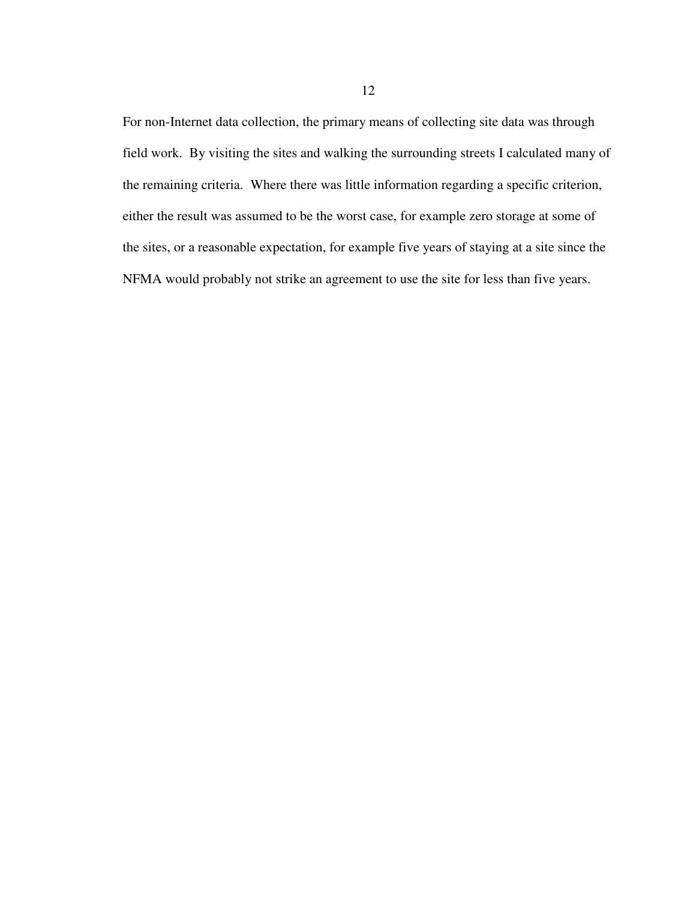For non-Internet data collection, the primary means of collecting site data was through field work. By visiting the sites and walking the surrounding streets I calculated many of the remaining criteria. Where there was little information regarding a specific criterion, either the result was assumed to be the worst case, for example zero storage at some of the sites, or a reasonable expectation, for example five years of staying at a site since the NFMA would probably not strike an agreement to use the site for less than five years.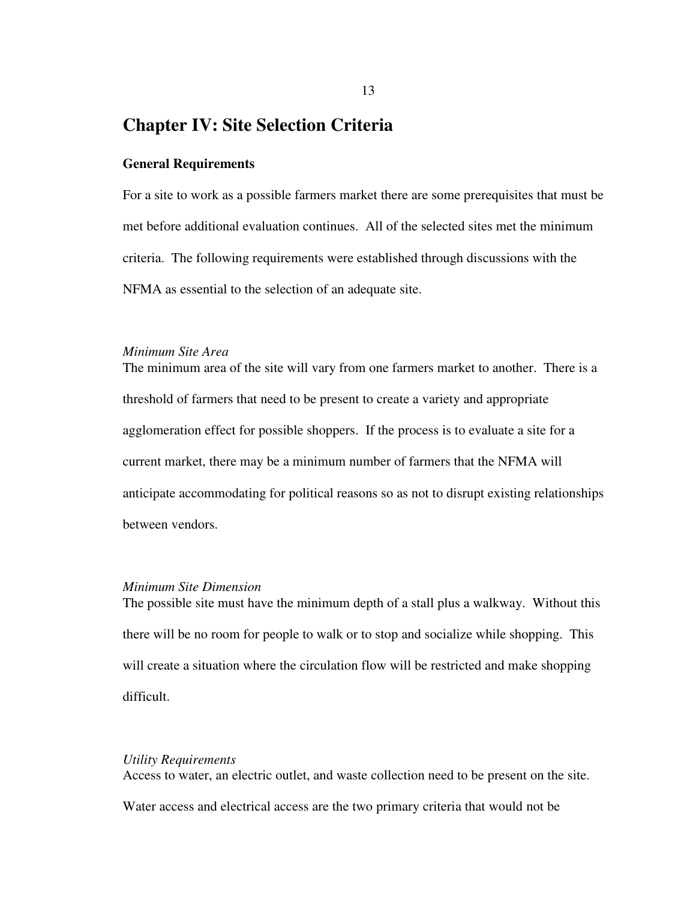# **Chapter IV: Site Selection Criteria**

### **General Requirements**

For a site to work as a possible farmers market there are some prerequisites that must be met before additional evaluation continues. All of the selected sites met the minimum criteria. The following requirements were established through discussions with the NFMA as essential to the selection of an adequate site.

## *Minimum Site Area*

The minimum area of the site will vary from one farmers market to another. There is a threshold of farmers that need to be present to create a variety and appropriate agglomeration effect for possible shoppers. If the process is to evaluate a site for a current market, there may be a minimum number of farmers that the NFMA will anticipate accommodating for political reasons so as not to disrupt existing relationships between vendors.

## *Minimum Site Dimension*

The possible site must have the minimum depth of a stall plus a walkway. Without this there will be no room for people to walk or to stop and socialize while shopping. This will create a situation where the circulation flow will be restricted and make shopping difficult.

#### *Utility Requirements*

Access to water, an electric outlet, and waste collection need to be present on the site. Water access and electrical access are the two primary criteria that would not be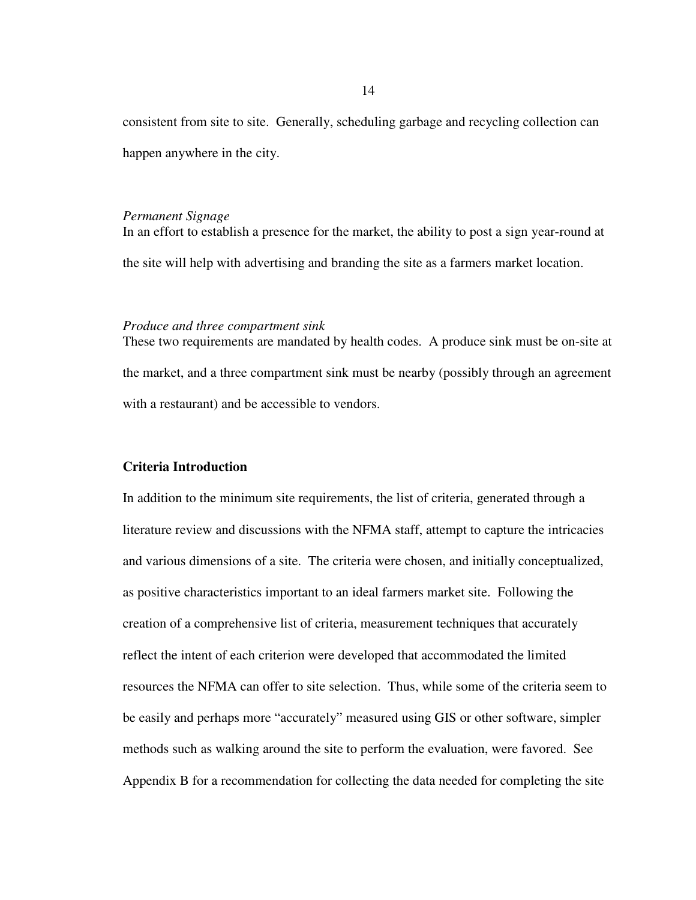consistent from site to site. Generally, scheduling garbage and recycling collection can happen anywhere in the city.

#### *Permanent Signage*

In an effort to establish a presence for the market, the ability to post a sign year-round at the site will help with advertising and branding the site as a farmers market location.

# *Produce and three compartment sink*

These two requirements are mandated by health codes. A produce sink must be on-site at the market, and a three compartment sink must be nearby (possibly through an agreement with a restaurant) and be accessible to vendors.

# **Criteria Introduction**

In addition to the minimum site requirements, the list of criteria, generated through a literature review and discussions with the NFMA staff, attempt to capture the intricacies and various dimensions of a site. The criteria were chosen, and initially conceptualized, as positive characteristics important to an ideal farmers market site. Following the creation of a comprehensive list of criteria, measurement techniques that accurately reflect the intent of each criterion were developed that accommodated the limited resources the NFMA can offer to site selection. Thus, while some of the criteria seem to be easily and perhaps more "accurately" measured using GIS or other software, simpler methods such as walking around the site to perform the evaluation, were favored. See Appendix B for a recommendation for collecting the data needed for completing the site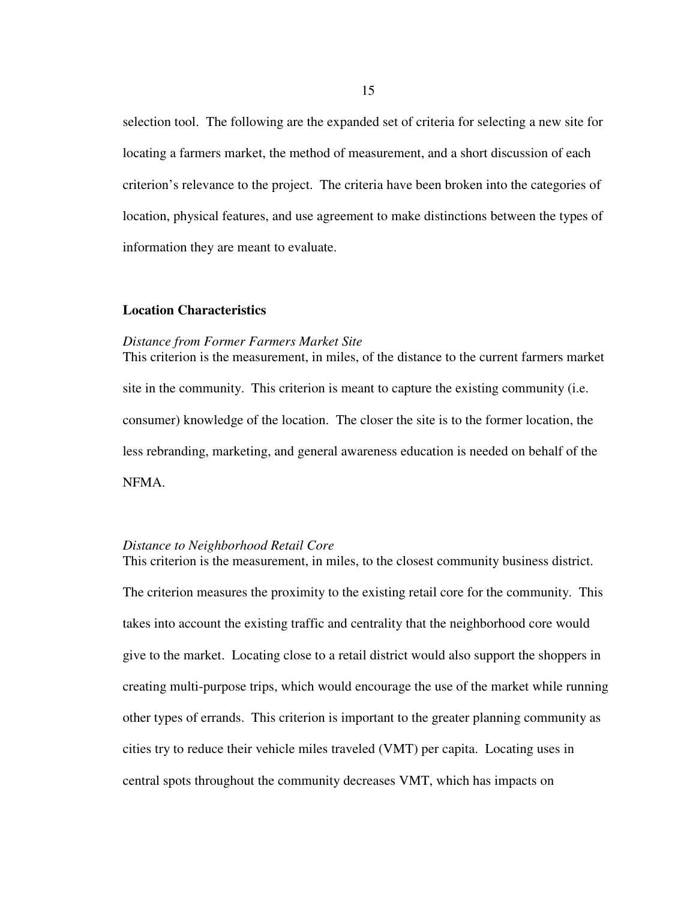selection tool. The following are the expanded set of criteria for selecting a new site for locating a farmers market, the method of measurement, and a short discussion of each criterion's relevance to the project. The criteria have been broken into the categories of location, physical features, and use agreement to make distinctions between the types of information they are meant to evaluate.

# **Location Characteristics**

#### *Distance from Former Farmers Market Site*

This criterion is the measurement, in miles, of the distance to the current farmers market site in the community. This criterion is meant to capture the existing community (i.e. consumer) knowledge of the location. The closer the site is to the former location, the less rebranding, marketing, and general awareness education is needed on behalf of the NFMA.

# *Distance to Neighborhood Retail Core*

The criterion measures the proximity to the existing retail core for the community. This takes into account the existing traffic and centrality that the neighborhood core would give to the market. Locating close to a retail district would also support the shoppers in creating multi-purpose trips, which would encourage the use of the market while running other types of errands. This criterion is important to the greater planning community as cities try to reduce their vehicle miles traveled (VMT) per capita. Locating uses in central spots throughout the community decreases VMT, which has impacts on

This criterion is the measurement, in miles, to the closest community business district.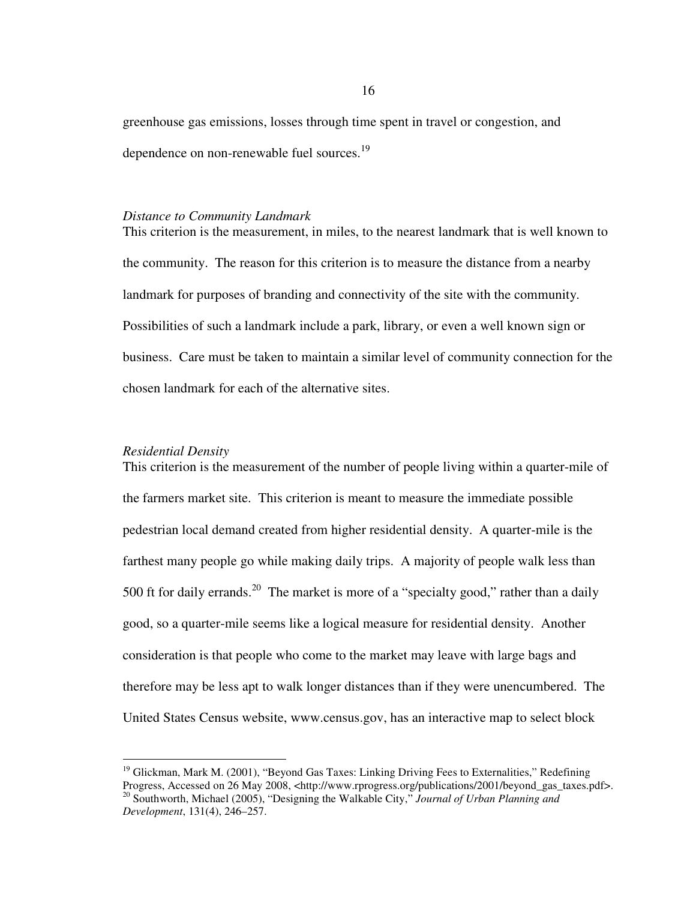greenhouse gas emissions, losses through time spent in travel or congestion, and dependence on non-renewable fuel sources.<sup>19</sup>

#### *Distance to Community Landmark*

This criterion is the measurement, in miles, to the nearest landmark that is well known to the community. The reason for this criterion is to measure the distance from a nearby landmark for purposes of branding and connectivity of the site with the community. Possibilities of such a landmark include a park, library, or even a well known sign or business. Care must be taken to maintain a similar level of community connection for the chosen landmark for each of the alternative sites.

# *Residential Density*

 $\overline{a}$ 

This criterion is the measurement of the number of people living within a quarter-mile of the farmers market site. This criterion is meant to measure the immediate possible pedestrian local demand created from higher residential density. A quarter-mile is the farthest many people go while making daily trips. A majority of people walk less than 500 ft for daily errands.<sup>20</sup> The market is more of a "specialty good," rather than a daily good, so a quarter-mile seems like a logical measure for residential density. Another consideration is that people who come to the market may leave with large bags and therefore may be less apt to walk longer distances than if they were unencumbered. The United States Census website, www.census.gov, has an interactive map to select block

<sup>&</sup>lt;sup>19</sup> Glickman, Mark M. (2001), "Beyond Gas Taxes: Linking Driving Fees to Externalities," Redefining Progress, Accessed on 26 May 2008, <http://www.rprogress.org/publications/2001/beyond\_gas\_taxes.pdf>. <sup>20</sup> Southworth, Michael (2005), "Designing the Walkable City," *Journal of Urban Planning and Development*, 131(4), 246–257.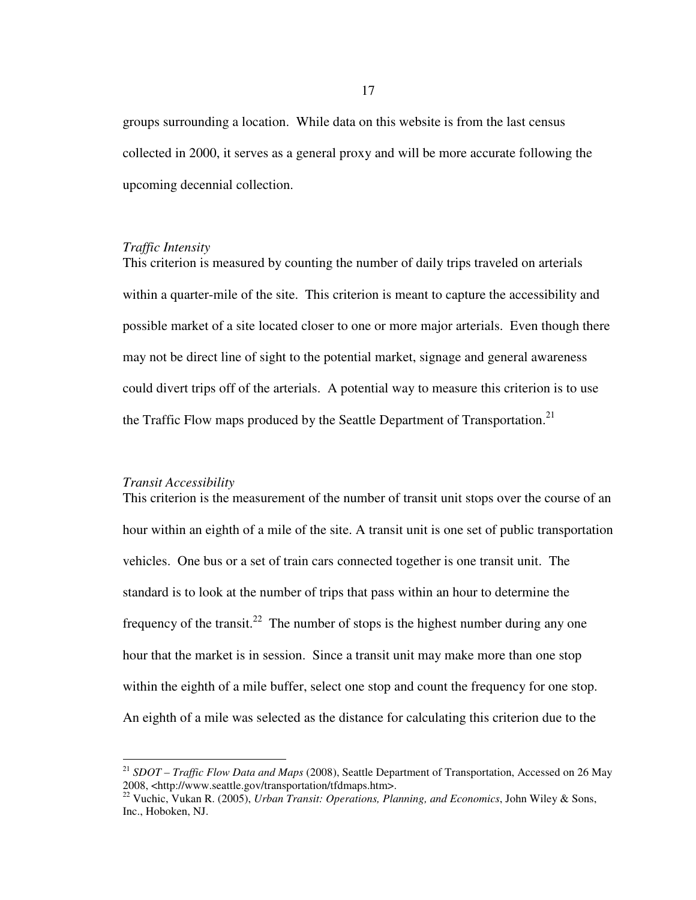groups surrounding a location. While data on this website is from the last census collected in 2000, it serves as a general proxy and will be more accurate following the upcoming decennial collection.

#### *Traffic Intensity*

This criterion is measured by counting the number of daily trips traveled on arterials within a quarter-mile of the site. This criterion is meant to capture the accessibility and possible market of a site located closer to one or more major arterials. Even though there may not be direct line of sight to the potential market, signage and general awareness could divert trips off of the arterials. A potential way to measure this criterion is to use the Traffic Flow maps produced by the Seattle Department of Transportation.<sup>21</sup>

#### *Transit Accessibility*

 $\overline{a}$ 

This criterion is the measurement of the number of transit unit stops over the course of an hour within an eighth of a mile of the site. A transit unit is one set of public transportation vehicles. One bus or a set of train cars connected together is one transit unit. The standard is to look at the number of trips that pass within an hour to determine the frequency of the transit.<sup>22</sup> The number of stops is the highest number during any one hour that the market is in session. Since a transit unit may make more than one stop within the eighth of a mile buffer, select one stop and count the frequency for one stop. An eighth of a mile was selected as the distance for calculating this criterion due to the

<sup>&</sup>lt;sup>21</sup> *SDOT – Traffic Flow Data and Maps* (2008), Seattle Department of Transportation, Accessed on 26 May 2008, <http://www.seattle.gov/transportation/tfdmaps.htm>.

<sup>22</sup> Vuchic, Vukan R. (2005), *Urban Transit: Operations, Planning, and Economics*, John Wiley & Sons, Inc., Hoboken, NJ.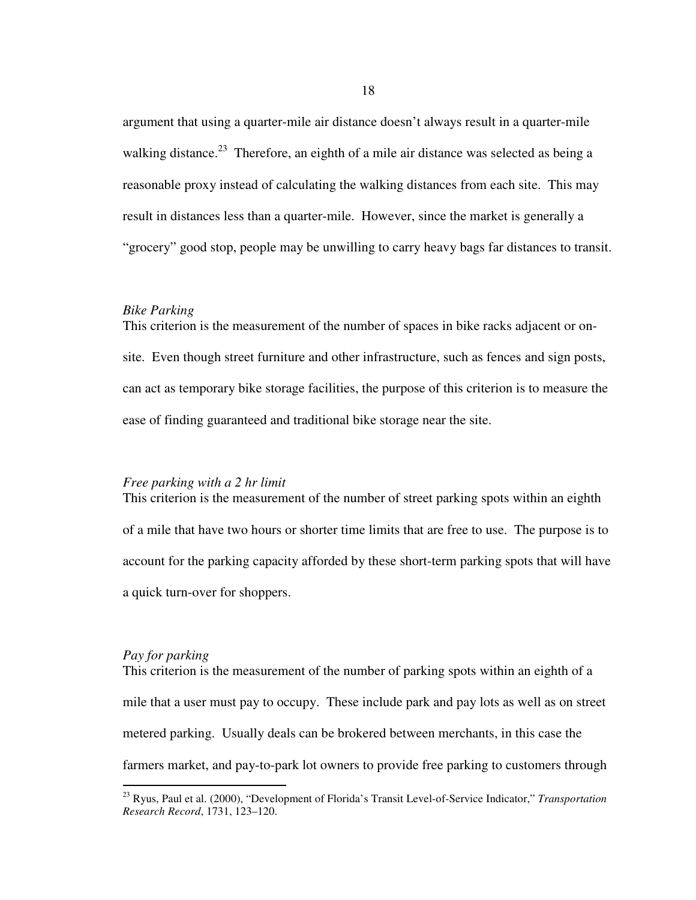argument that using a quarter-mile air distance doesn't always result in a quarter-mile walking distance.<sup>23</sup> Therefore, an eighth of a mile air distance was selected as being a reasonable proxy instead of calculating the walking distances from each site. This may result in distances less than a quarter-mile. However, since the market is generally a "grocery" good stop, people may be unwilling to carry heavy bags far distances to transit.

#### *Bike Parking*

This criterion is the measurement of the number of spaces in bike racks adjacent or onsite. Even though street furniture and other infrastructure, such as fences and sign posts, can act as temporary bike storage facilities, the purpose of this criterion is to measure the ease of finding guaranteed and traditional bike storage near the site.

## *Free parking with a 2 hr limit*

This criterion is the measurement of the number of street parking spots within an eighth of a mile that have two hours or shorter time limits that are free to use. The purpose is to account for the parking capacity afforded by these short-term parking spots that will have a quick turn-over for shoppers.

# *Pay for parking*

 $\overline{a}$ 

This criterion is the measurement of the number of parking spots within an eighth of a mile that a user must pay to occupy. These include park and pay lots as well as on street metered parking. Usually deals can be brokered between merchants, in this case the farmers market, and pay-to-park lot owners to provide free parking to customers through

<sup>23</sup> Ryus, Paul et al. (2000), "Development of Florida's Transit Level-of-Service Indicator," *Transportation Research Record*, 1731, 123–120.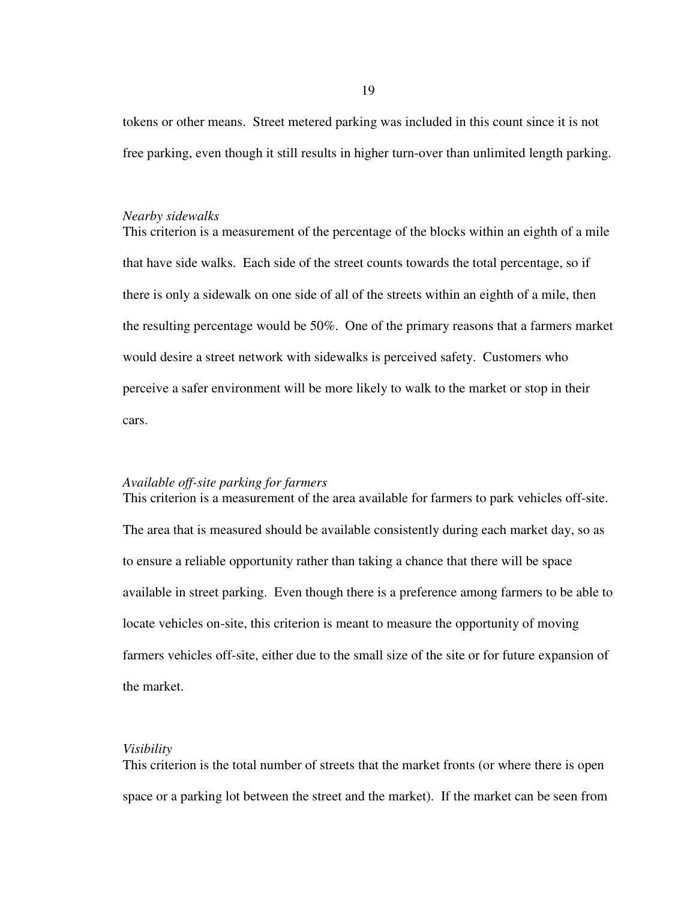tokens or other means. Street metered parking was included in this count since it is not free parking, even though it still results in higher turn-over than unlimited length parking.

#### *Nearby sidewalks*

This criterion is a measurement of the percentage of the blocks within an eighth of a mile that have side walks. Each side of the street counts towards the total percentage, so if there is only a sidewalk on one side of all of the streets within an eighth of a mile, then the resulting percentage would be 50%. One of the primary reasons that a farmers market would desire a street network with sidewalks is perceived safety. Customers who perceive a safer environment will be more likely to walk to the market or stop in their cars.

### *Available off-site parking for farmers*

This criterion is a measurement of the area available for farmers to park vehicles off-site. The area that is measured should be available consistently during each market day, so as to ensure a reliable opportunity rather than taking a chance that there will be space available in street parking. Even though there is a preference among farmers to be able to locate vehicles on-site, this criterion is meant to measure the opportunity of moving farmers vehicles off-site, either due to the small size of the site or for future expansion of the market.

# *Visibility*

This criterion is the total number of streets that the market fronts (or where there is open space or a parking lot between the street and the market). If the market can be seen from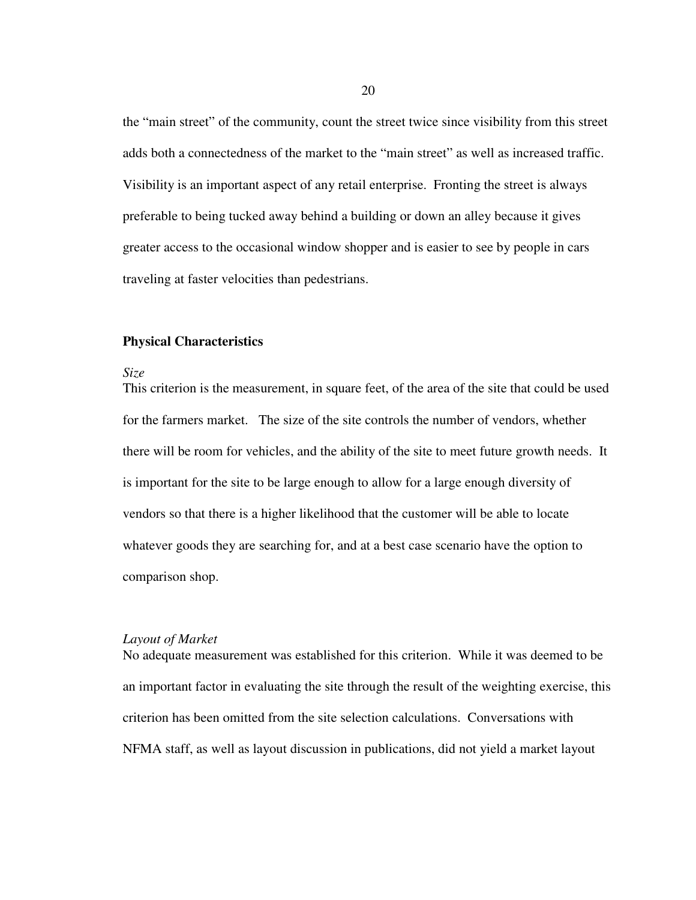the "main street" of the community, count the street twice since visibility from this street adds both a connectedness of the market to the "main street" as well as increased traffic. Visibility is an important aspect of any retail enterprise. Fronting the street is always preferable to being tucked away behind a building or down an alley because it gives greater access to the occasional window shopper and is easier to see by people in cars traveling at faster velocities than pedestrians.

#### **Physical Characteristics**

#### *Size*

This criterion is the measurement, in square feet, of the area of the site that could be used for the farmers market. The size of the site controls the number of vendors, whether there will be room for vehicles, and the ability of the site to meet future growth needs. It is important for the site to be large enough to allow for a large enough diversity of vendors so that there is a higher likelihood that the customer will be able to locate whatever goods they are searching for, and at a best case scenario have the option to comparison shop.

## *Layout of Market*

No adequate measurement was established for this criterion. While it was deemed to be an important factor in evaluating the site through the result of the weighting exercise, this criterion has been omitted from the site selection calculations. Conversations with NFMA staff, as well as layout discussion in publications, did not yield a market layout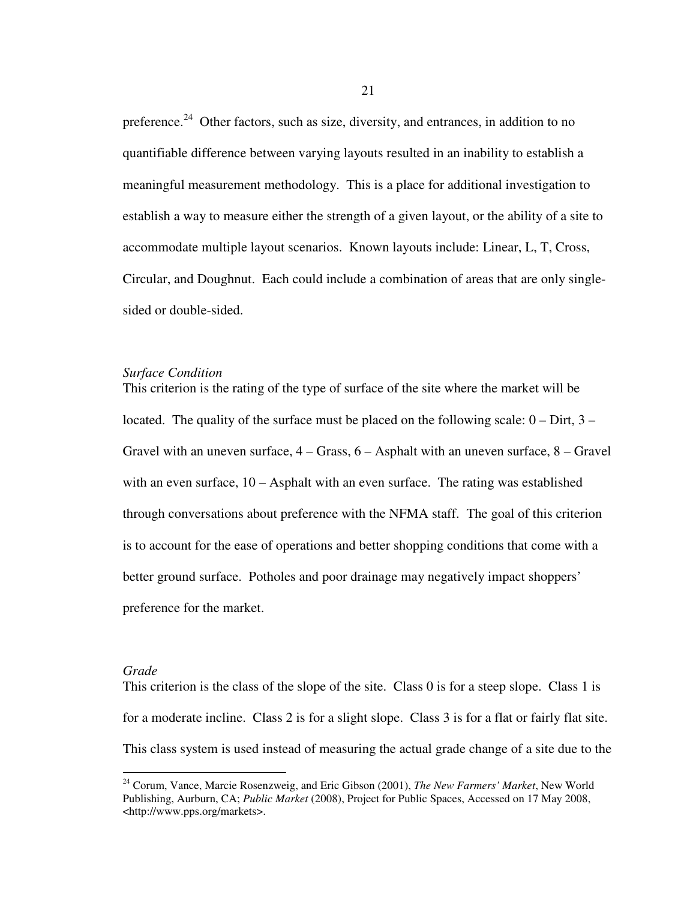preference.<sup>24</sup> Other factors, such as size, diversity, and entrances, in addition to no quantifiable difference between varying layouts resulted in an inability to establish a meaningful measurement methodology. This is a place for additional investigation to establish a way to measure either the strength of a given layout, or the ability of a site to accommodate multiple layout scenarios. Known layouts include: Linear, L, T, Cross, Circular, and Doughnut. Each could include a combination of areas that are only singlesided or double-sided.

#### *Surface Condition*

This criterion is the rating of the type of surface of the site where the market will be located. The quality of the surface must be placed on the following scale:  $0 -$ Dirt,  $3 -$ Gravel with an uneven surface, 4 – Grass, 6 – Asphalt with an uneven surface, 8 – Gravel with an even surface, 10 – Asphalt with an even surface. The rating was established through conversations about preference with the NFMA staff. The goal of this criterion is to account for the ease of operations and better shopping conditions that come with a better ground surface. Potholes and poor drainage may negatively impact shoppers' preference for the market.

#### *Grade*

 $\overline{a}$ 

This criterion is the class of the slope of the site. Class 0 is for a steep slope. Class 1 is for a moderate incline. Class 2 is for a slight slope. Class 3 is for a flat or fairly flat site. This class system is used instead of measuring the actual grade change of a site due to the

<sup>24</sup> Corum, Vance, Marcie Rosenzweig, and Eric Gibson (2001), *The New Farmers' Market*, New World Publishing, Aurburn, CA; *Public Market* (2008), Project for Public Spaces, Accessed on 17 May 2008, <http://www.pps.org/markets>.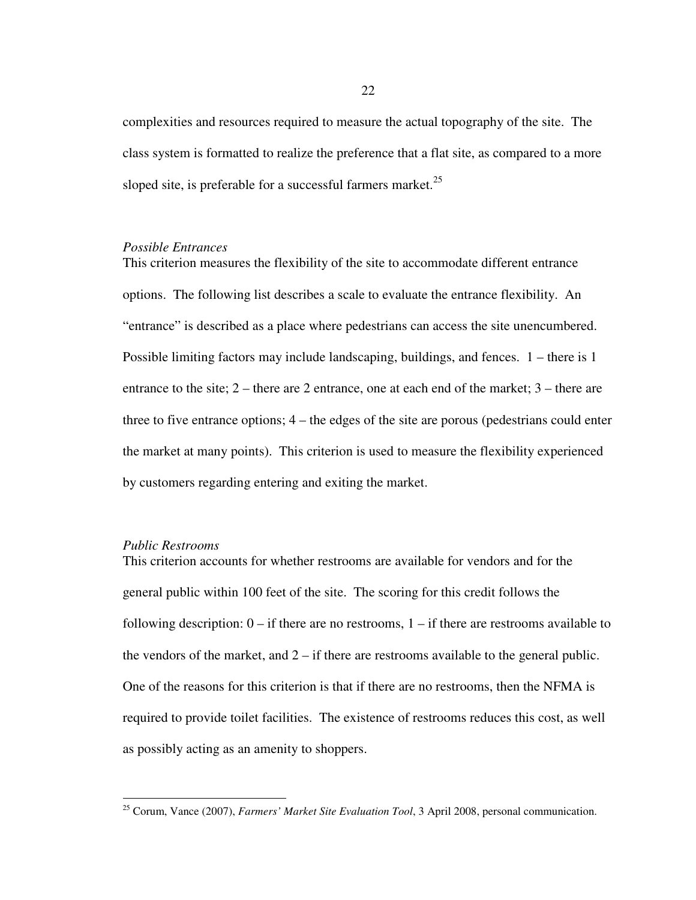complexities and resources required to measure the actual topography of the site. The class system is formatted to realize the preference that a flat site, as compared to a more sloped site, is preferable for a successful farmers market. $^{25}$ 

#### *Possible Entrances*

This criterion measures the flexibility of the site to accommodate different entrance options. The following list describes a scale to evaluate the entrance flexibility. An "entrance" is described as a place where pedestrians can access the site unencumbered. Possible limiting factors may include landscaping, buildings, and fences. 1 – there is 1 entrance to the site; 2 – there are 2 entrance, one at each end of the market; 3 – there are three to five entrance options; 4 – the edges of the site are porous (pedestrians could enter the market at many points). This criterion is used to measure the flexibility experienced by customers regarding entering and exiting the market.

## *Public Restrooms*

l

This criterion accounts for whether restrooms are available for vendors and for the general public within 100 feet of the site. The scoring for this credit follows the following description:  $0 -$  if there are no restrooms,  $1 -$  if there are restrooms available to the vendors of the market, and  $2 - if$  there are restrooms available to the general public. One of the reasons for this criterion is that if there are no restrooms, then the NFMA is required to provide toilet facilities. The existence of restrooms reduces this cost, as well as possibly acting as an amenity to shoppers.

<sup>25</sup> Corum, Vance (2007), *Farmers' Market Site Evaluation Tool*, 3 April 2008, personal communication.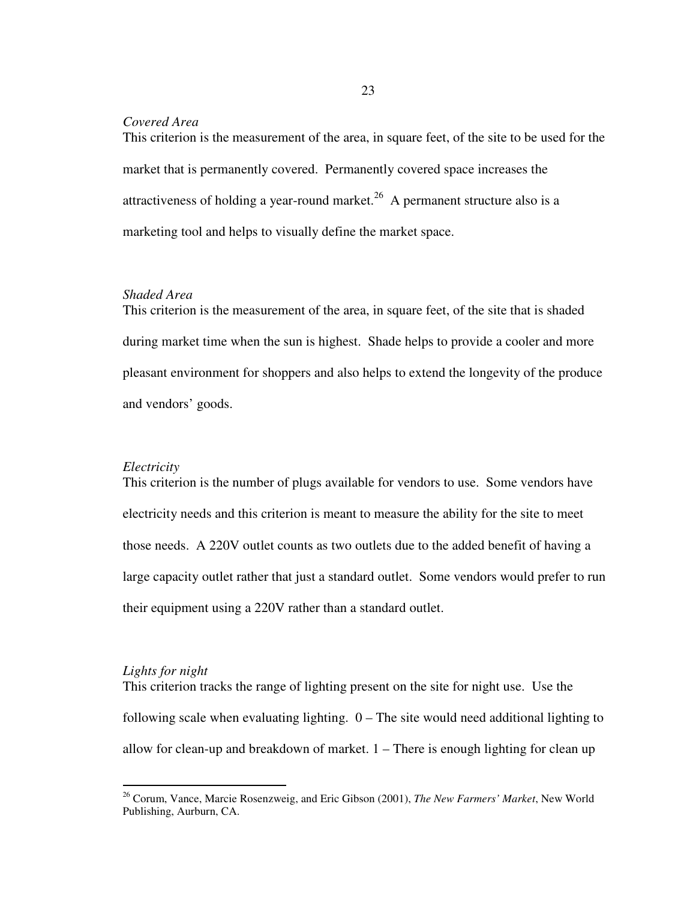# *Covered Area*

This criterion is the measurement of the area, in square feet, of the site to be used for the market that is permanently covered. Permanently covered space increases the attractiveness of holding a year-round market.<sup>26</sup> A permanent structure also is a marketing tool and helps to visually define the market space.

# *Shaded Area*

This criterion is the measurement of the area, in square feet, of the site that is shaded during market time when the sun is highest. Shade helps to provide a cooler and more pleasant environment for shoppers and also helps to extend the longevity of the produce and vendors' goods.

#### *Electricity*

This criterion is the number of plugs available for vendors to use. Some vendors have electricity needs and this criterion is meant to measure the ability for the site to meet those needs. A 220V outlet counts as two outlets due to the added benefit of having a large capacity outlet rather that just a standard outlet. Some vendors would prefer to run their equipment using a 220V rather than a standard outlet.

# *Lights for night*

 $\overline{a}$ 

This criterion tracks the range of lighting present on the site for night use. Use the following scale when evaluating lighting. 0 – The site would need additional lighting to allow for clean-up and breakdown of market. 1 – There is enough lighting for clean up

23

<sup>26</sup> Corum, Vance, Marcie Rosenzweig, and Eric Gibson (2001), *The New Farmers' Market*, New World Publishing, Aurburn, CA.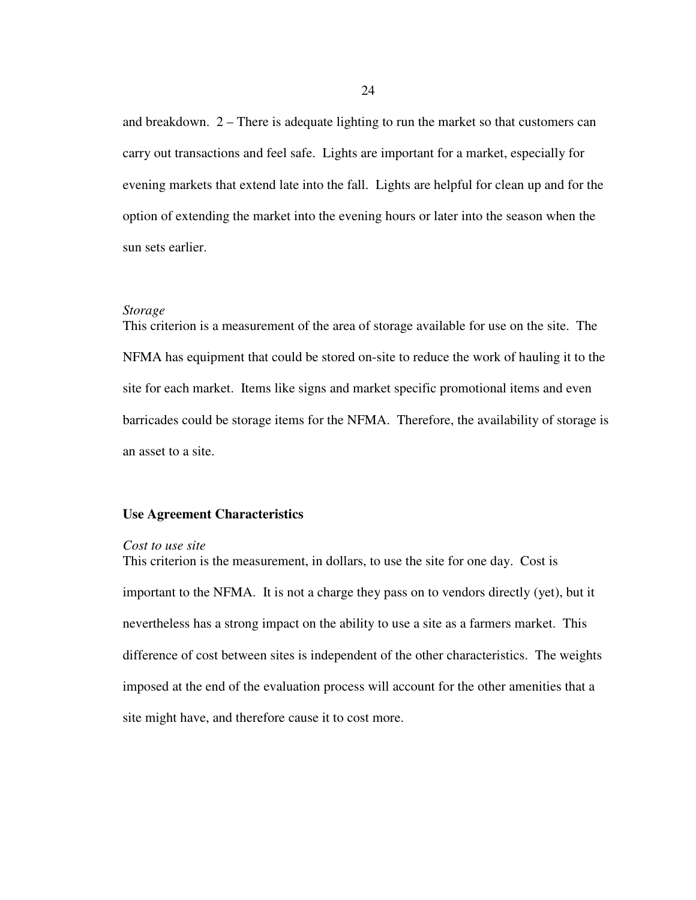and breakdown. 2 – There is adequate lighting to run the market so that customers can carry out transactions and feel safe. Lights are important for a market, especially for evening markets that extend late into the fall. Lights are helpful for clean up and for the option of extending the market into the evening hours or later into the season when the sun sets earlier.

#### *Storage*

This criterion is a measurement of the area of storage available for use on the site. The NFMA has equipment that could be stored on-site to reduce the work of hauling it to the site for each market. Items like signs and market specific promotional items and even barricades could be storage items for the NFMA. Therefore, the availability of storage is an asset to a site.

# **Use Agreement Characteristics**

#### *Cost to use site*

This criterion is the measurement, in dollars, to use the site for one day. Cost is important to the NFMA. It is not a charge they pass on to vendors directly (yet), but it nevertheless has a strong impact on the ability to use a site as a farmers market. This difference of cost between sites is independent of the other characteristics. The weights imposed at the end of the evaluation process will account for the other amenities that a site might have, and therefore cause it to cost more.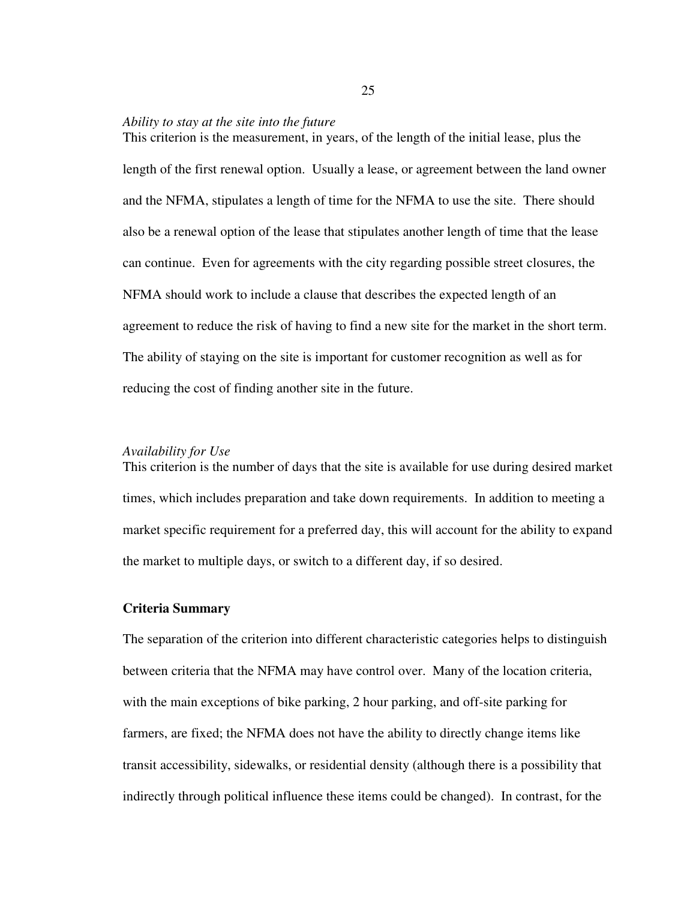#### *Ability to stay at the site into the future*

This criterion is the measurement, in years, of the length of the initial lease, plus the length of the first renewal option. Usually a lease, or agreement between the land owner and the NFMA, stipulates a length of time for the NFMA to use the site. There should also be a renewal option of the lease that stipulates another length of time that the lease can continue. Even for agreements with the city regarding possible street closures, the NFMA should work to include a clause that describes the expected length of an agreement to reduce the risk of having to find a new site for the market in the short term. The ability of staying on the site is important for customer recognition as well as for reducing the cost of finding another site in the future.

## *Availability for Use*

This criterion is the number of days that the site is available for use during desired market times, which includes preparation and take down requirements. In addition to meeting a market specific requirement for a preferred day, this will account for the ability to expand the market to multiple days, or switch to a different day, if so desired.

# **Criteria Summary**

The separation of the criterion into different characteristic categories helps to distinguish between criteria that the NFMA may have control over. Many of the location criteria, with the main exceptions of bike parking, 2 hour parking, and off-site parking for farmers, are fixed; the NFMA does not have the ability to directly change items like transit accessibility, sidewalks, or residential density (although there is a possibility that indirectly through political influence these items could be changed). In contrast, for the

25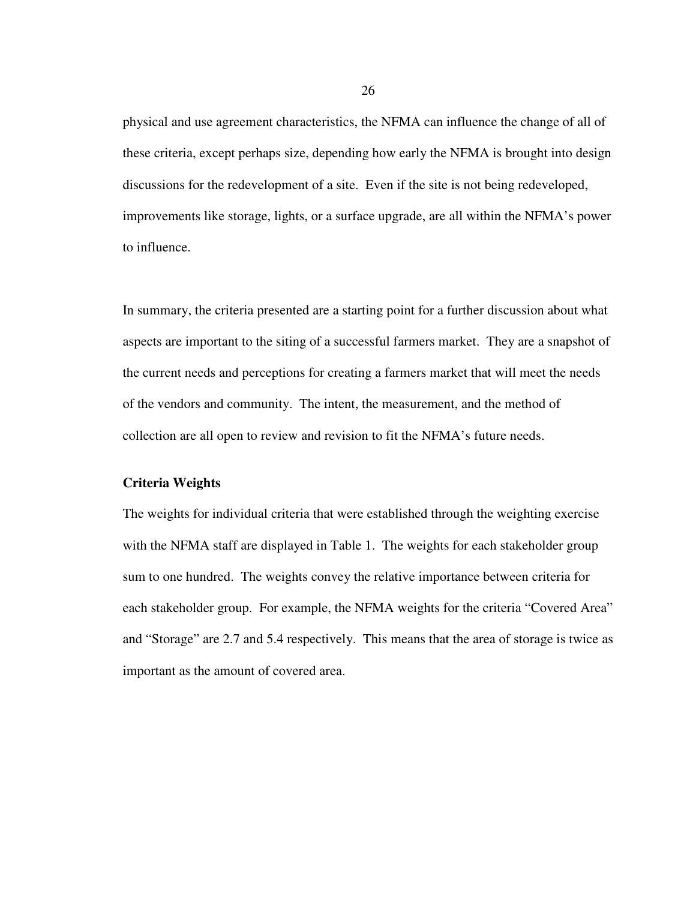physical and use agreement characteristics, the NFMA can influence the change of all of these criteria, except perhaps size, depending how early the NFMA is brought into design discussions for the redevelopment of a site. Even if the site is not being redeveloped, improvements like storage, lights, or a surface upgrade, are all within the NFMA's power to influence.

In summary, the criteria presented are a starting point for a further discussion about what aspects are important to the siting of a successful farmers market. They are a snapshot of the current needs and perceptions for creating a farmers market that will meet the needs of the vendors and community. The intent, the measurement, and the method of collection are all open to review and revision to fit the NFMA's future needs.

# **Criteria Weights**

The weights for individual criteria that were established through the weighting exercise with the NFMA staff are displayed in Table 1. The weights for each stakeholder group sum to one hundred. The weights convey the relative importance between criteria for each stakeholder group. For example, the NFMA weights for the criteria "Covered Area" and "Storage" are 2.7 and 5.4 respectively. This means that the area of storage is twice as important as the amount of covered area.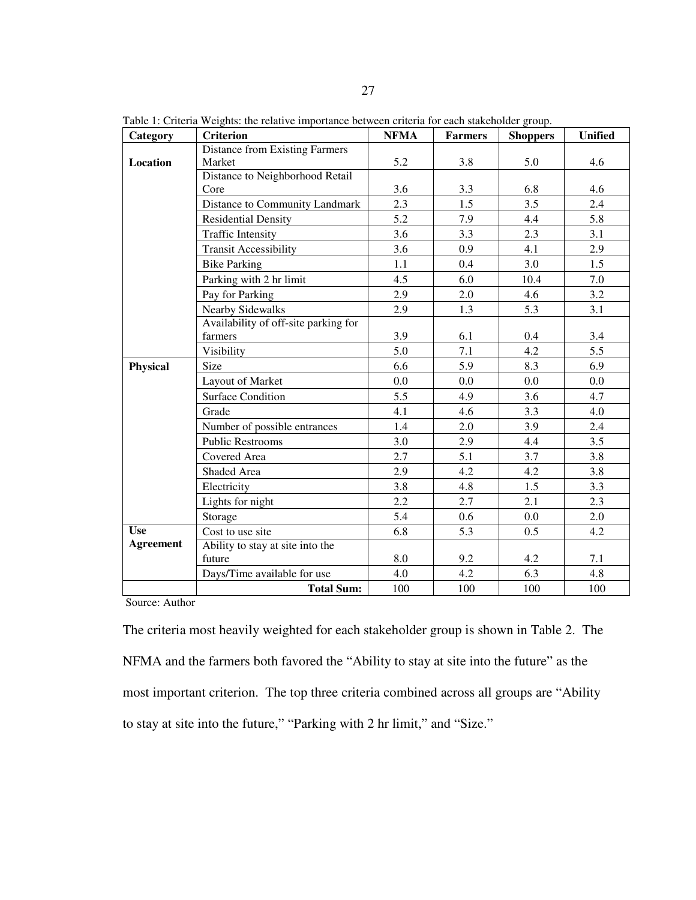| Category         | <b>Criterion</b>                      | <b>NFMA</b> | <b>Farmers</b> | <b>Shoppers</b> | <b>Unified</b> |
|------------------|---------------------------------------|-------------|----------------|-----------------|----------------|
|                  | <b>Distance from Existing Farmers</b> |             |                |                 |                |
| Location         | Market                                | 5.2         | 3.8            | 5.0             | 4.6            |
|                  | Distance to Neighborhood Retail       |             |                |                 |                |
|                  | Core                                  | 3.6         | 3.3            | 6.8             | 4.6            |
|                  | Distance to Community Landmark        | 2.3         | 1.5            | 3.5             | 2.4            |
|                  | <b>Residential Density</b>            | 5.2         | 7.9            | 4.4             | 5.8            |
|                  | <b>Traffic Intensity</b>              | 3.6         | 3.3            | 2.3             | 3.1            |
|                  | <b>Transit Accessibility</b>          | 3.6         | 0.9            | 4.1             | 2.9            |
|                  | <b>Bike Parking</b>                   | 1.1         | 0.4            | 3.0             | 1.5            |
|                  | Parking with 2 hr limit               | 4.5         | 6.0            | 10.4            | 7.0            |
|                  | Pay for Parking                       | 2.9         | 2.0            | 4.6             | 3.2            |
|                  | Nearby Sidewalks                      | 2.9         | 1.3            | 5.3             | 3.1            |
|                  | Availability of off-site parking for  |             |                |                 |                |
|                  | farmers                               | 3.9         | 6.1            | 0.4             | 3.4            |
|                  | Visibility                            | 5.0         | 7.1            | 4.2             | 5.5            |
| Physical         | Size                                  | 6.6         | 5.9            | 8.3             | 6.9            |
|                  | Layout of Market                      | 0.0         | 0.0            | 0.0             | 0.0            |
|                  | <b>Surface Condition</b>              | 5.5         | 4.9            | 3.6             | 4.7            |
|                  | Grade                                 | 4.1         | 4.6            | 3.3             | 4.0            |
|                  | Number of possible entrances          | 1.4         | 2.0            | 3.9             | 2.4            |
|                  | <b>Public Restrooms</b>               | 3.0         | 2.9            | 4.4             | 3.5            |
|                  | Covered Area                          | 2.7         | 5.1            | 3.7             | 3.8            |
|                  | Shaded Area                           | 2.9         | 4.2            | 4.2             | 3.8            |
|                  | Electricity                           | 3.8         | 4.8            | 1.5             | 3.3            |
|                  | Lights for night                      | 2.2         | 2.7            | 2.1             | 2.3            |
|                  | Storage                               | 5.4         | 0.6            | $0.0\,$         | 2.0            |
| <b>Use</b>       | Cost to use site                      | 6.8         | 5.3            | 0.5             | 4.2            |
| <b>Agreement</b> | Ability to stay at site into the      |             |                |                 |                |
|                  | future                                | 8.0         | 9.2            | 4.2             | 7.1            |
|                  | Days/Time available for use           | 4.0         | 4.2            | 6.3             | 4.8            |
|                  | <b>Total Sum:</b>                     | 100         | 100            | 100             | 100            |

Table 1: Criteria Weights: the relative importance between criteria for each stakeholder group.

Source: Author

The criteria most heavily weighted for each stakeholder group is shown in Table 2. The NFMA and the farmers both favored the "Ability to stay at site into the future" as the most important criterion. The top three criteria combined across all groups are "Ability to stay at site into the future," "Parking with 2 hr limit," and "Size."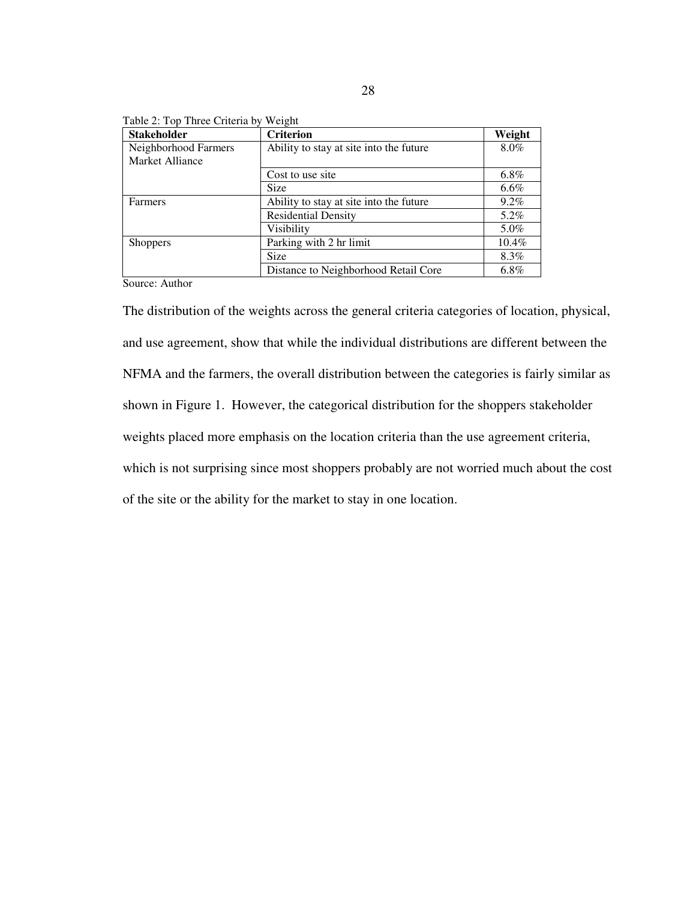| <b>Stakeholder</b>                      | <b>Criterion</b>                        | Weight  |
|-----------------------------------------|-----------------------------------------|---------|
| Neighborhood Farmers<br>Market Alliance | Ability to stay at site into the future | 8.0%    |
|                                         | Cost to use site                        | 6.8%    |
|                                         | <b>Size</b>                             | $6.6\%$ |
| Farmers                                 | Ability to stay at site into the future | $9.2\%$ |
|                                         | <b>Residential Density</b>              | 5.2%    |
|                                         | Visibility                              | 5.0%    |
| <b>Shoppers</b>                         | Parking with 2 hr limit                 | 10.4%   |
|                                         | <b>Size</b>                             | 8.3%    |
|                                         | Distance to Neighborhood Retail Core    | $6.8\%$ |

Table 2: Top Three Criteria by Weight

Source: Author

The distribution of the weights across the general criteria categories of location, physical, and use agreement, show that while the individual distributions are different between the NFMA and the farmers, the overall distribution between the categories is fairly similar as shown in Figure 1. However, the categorical distribution for the shoppers stakeholder weights placed more emphasis on the location criteria than the use agreement criteria, which is not surprising since most shoppers probably are not worried much about the cost of the site or the ability for the market to stay in one location.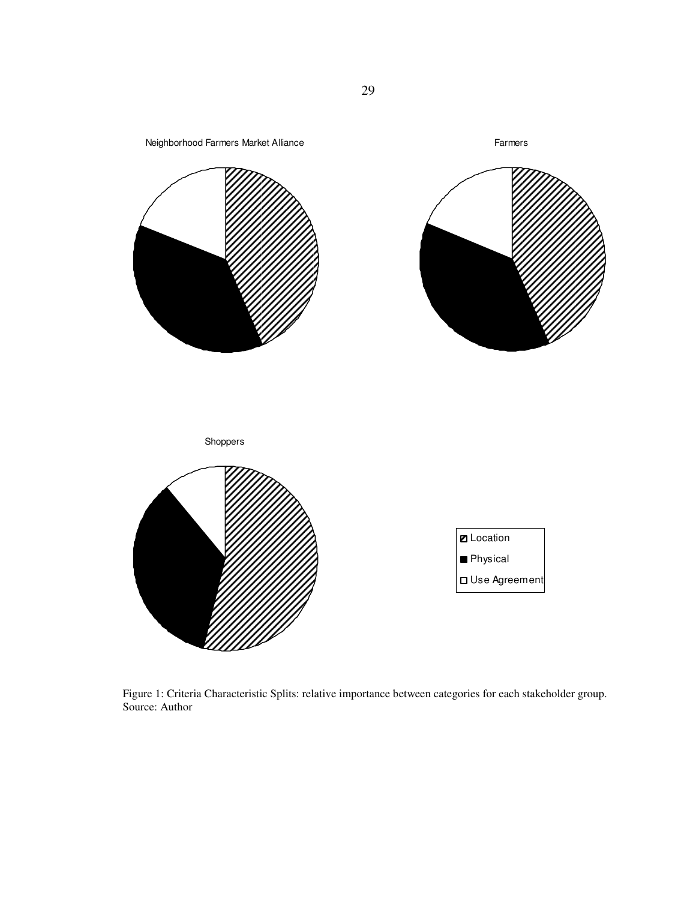

Figure 1: Criteria Characteristic Splits: relative importance between categories for each stakeholder group. Source: Author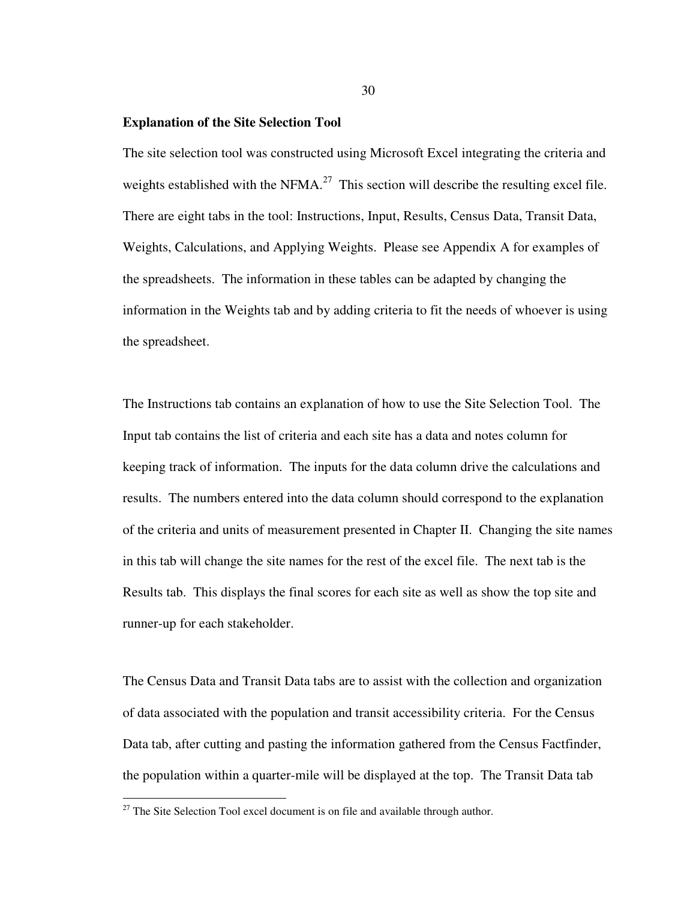#### **Explanation of the Site Selection Tool**

The site selection tool was constructed using Microsoft Excel integrating the criteria and weights established with the NFMA.<sup>27</sup> This section will describe the resulting excel file. There are eight tabs in the tool: Instructions, Input, Results, Census Data, Transit Data, Weights, Calculations, and Applying Weights. Please see Appendix A for examples of the spreadsheets. The information in these tables can be adapted by changing the information in the Weights tab and by adding criteria to fit the needs of whoever is using the spreadsheet.

The Instructions tab contains an explanation of how to use the Site Selection Tool. The Input tab contains the list of criteria and each site has a data and notes column for keeping track of information. The inputs for the data column drive the calculations and results. The numbers entered into the data column should correspond to the explanation of the criteria and units of measurement presented in Chapter II. Changing the site names in this tab will change the site names for the rest of the excel file. The next tab is the Results tab. This displays the final scores for each site as well as show the top site and runner-up for each stakeholder.

The Census Data and Transit Data tabs are to assist with the collection and organization of data associated with the population and transit accessibility criteria. For the Census Data tab, after cutting and pasting the information gathered from the Census Factfinder, the population within a quarter-mile will be displayed at the top. The Transit Data tab

l

 $27$  The Site Selection Tool excel document is on file and available through author.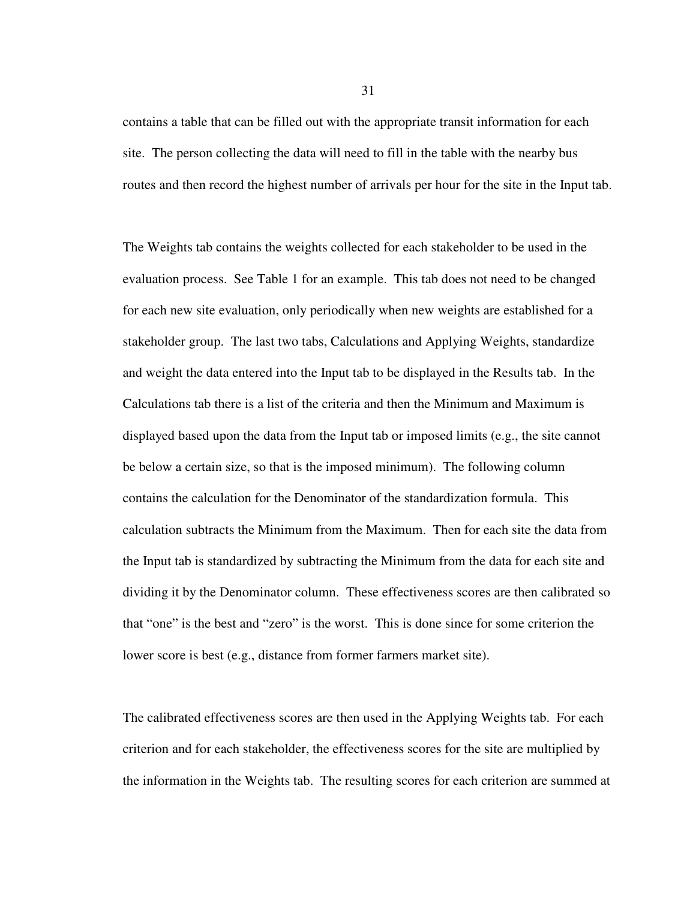contains a table that can be filled out with the appropriate transit information for each site. The person collecting the data will need to fill in the table with the nearby bus routes and then record the highest number of arrivals per hour for the site in the Input tab.

The Weights tab contains the weights collected for each stakeholder to be used in the evaluation process. See Table 1 for an example. This tab does not need to be changed for each new site evaluation, only periodically when new weights are established for a stakeholder group. The last two tabs, Calculations and Applying Weights, standardize and weight the data entered into the Input tab to be displayed in the Results tab. In the Calculations tab there is a list of the criteria and then the Minimum and Maximum is displayed based upon the data from the Input tab or imposed limits (e.g., the site cannot be below a certain size, so that is the imposed minimum). The following column contains the calculation for the Denominator of the standardization formula. This calculation subtracts the Minimum from the Maximum. Then for each site the data from the Input tab is standardized by subtracting the Minimum from the data for each site and dividing it by the Denominator column. These effectiveness scores are then calibrated so that "one" is the best and "zero" is the worst. This is done since for some criterion the lower score is best (e.g., distance from former farmers market site).

The calibrated effectiveness scores are then used in the Applying Weights tab. For each criterion and for each stakeholder, the effectiveness scores for the site are multiplied by the information in the Weights tab. The resulting scores for each criterion are summed at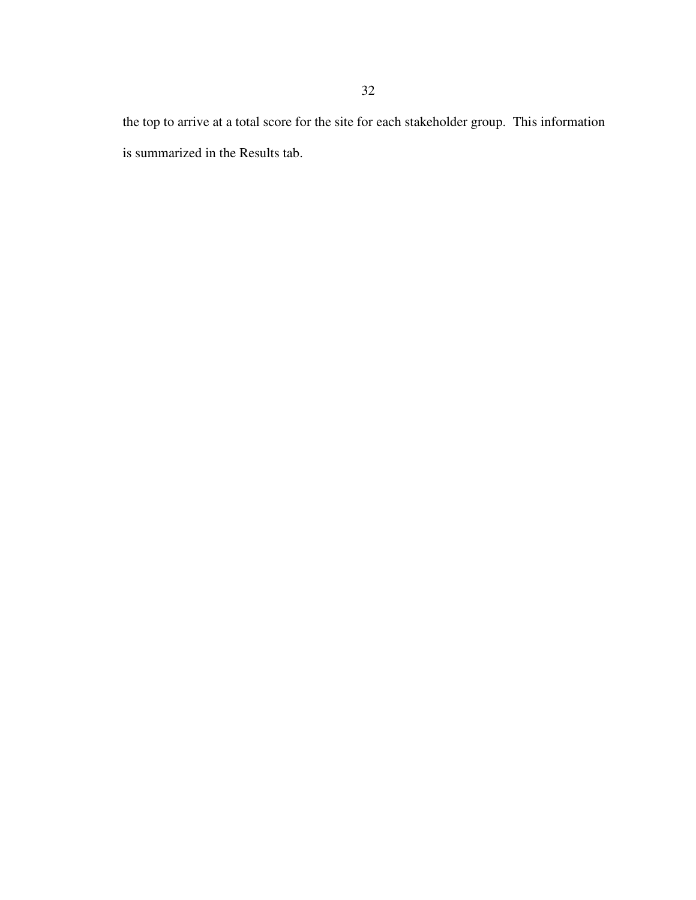the top to arrive at a total score for the site for each stakeholder group. This information is summarized in the Results tab.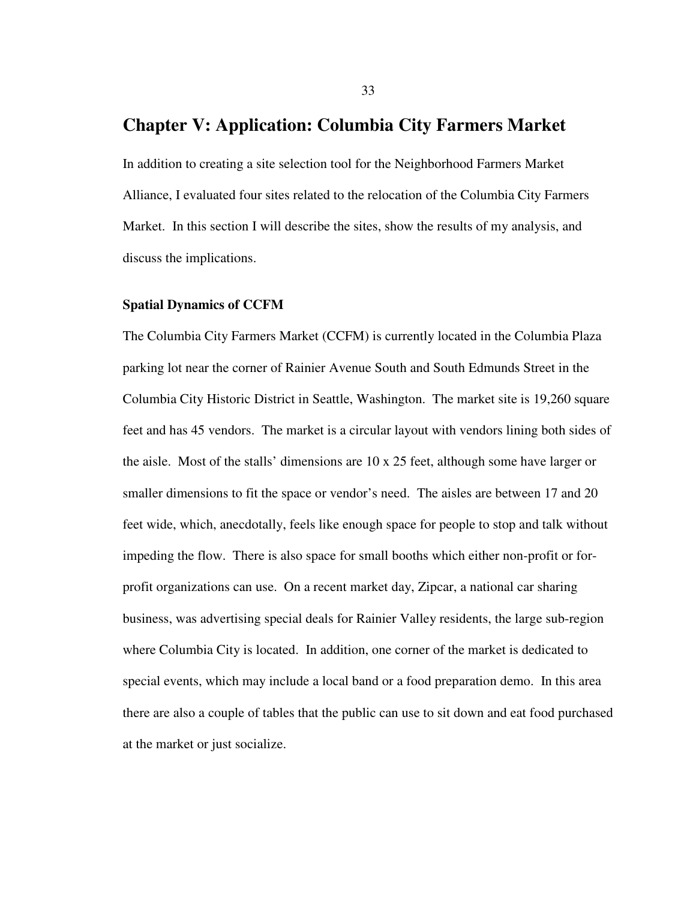# **Chapter V: Application: Columbia City Farmers Market**

In addition to creating a site selection tool for the Neighborhood Farmers Market Alliance, I evaluated four sites related to the relocation of the Columbia City Farmers Market. In this section I will describe the sites, show the results of my analysis, and discuss the implications.

## **Spatial Dynamics of CCFM**

The Columbia City Farmers Market (CCFM) is currently located in the Columbia Plaza parking lot near the corner of Rainier Avenue South and South Edmunds Street in the Columbia City Historic District in Seattle, Washington. The market site is 19,260 square feet and has 45 vendors. The market is a circular layout with vendors lining both sides of the aisle. Most of the stalls' dimensions are 10 x 25 feet, although some have larger or smaller dimensions to fit the space or vendor's need. The aisles are between 17 and 20 feet wide, which, anecdotally, feels like enough space for people to stop and talk without impeding the flow. There is also space for small booths which either non-profit or forprofit organizations can use. On a recent market day, Zipcar, a national car sharing business, was advertising special deals for Rainier Valley residents, the large sub-region where Columbia City is located. In addition, one corner of the market is dedicated to special events, which may include a local band or a food preparation demo. In this area there are also a couple of tables that the public can use to sit down and eat food purchased at the market or just socialize.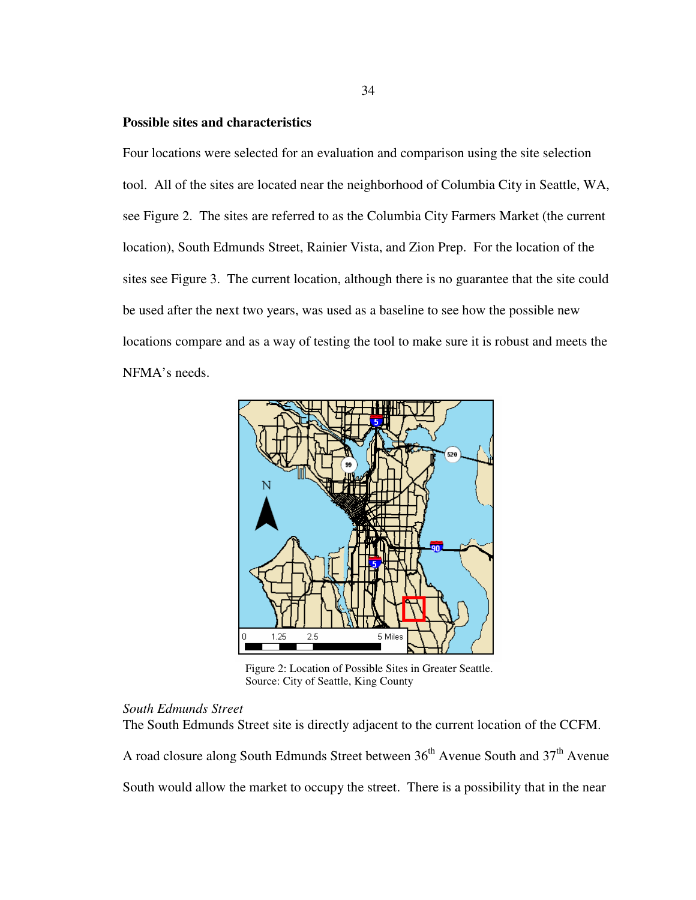# **Possible sites and characteristics**

Four locations were selected for an evaluation and comparison using the site selection tool. All of the sites are located near the neighborhood of Columbia City in Seattle, WA, see Figure 2. The sites are referred to as the Columbia City Farmers Market (the current location), South Edmunds Street, Rainier Vista, and Zion Prep. For the location of the sites see Figure 3. The current location, although there is no guarantee that the site could be used after the next two years, was used as a baseline to see how the possible new locations compare and as a way of testing the tool to make sure it is robust and meets the NFMA's needs.



 Figure 2: Location of Possible Sites in Greater Seattle. Source: City of Seattle, King County

# *South Edmunds Street*

The South Edmunds Street site is directly adjacent to the current location of the CCFM.

A road closure along South Edmunds Street between  $36<sup>th</sup>$  Avenue South and  $37<sup>th</sup>$  Avenue

South would allow the market to occupy the street. There is a possibility that in the near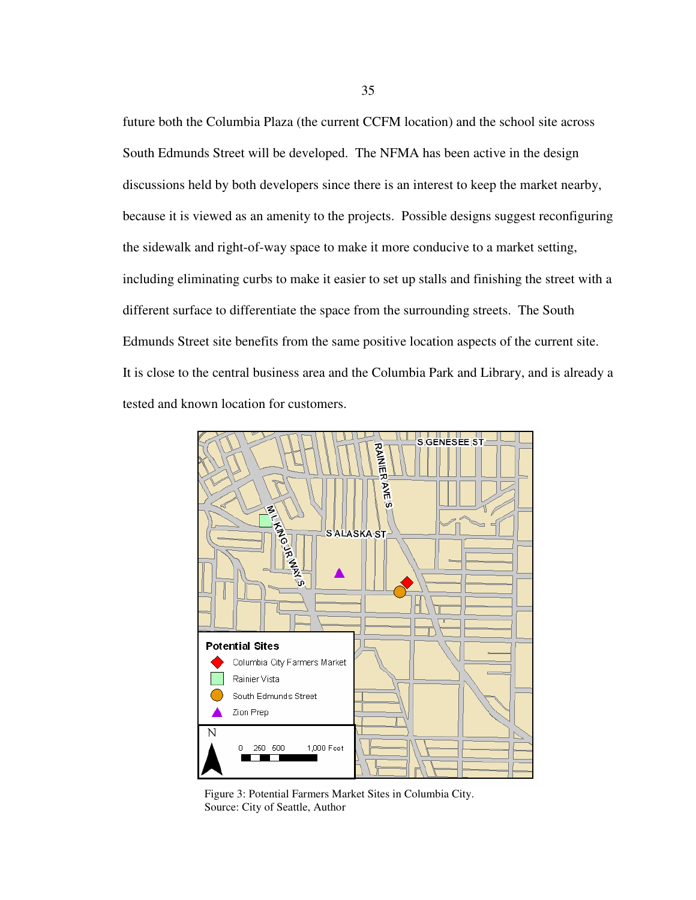future both the Columbia Plaza (the current CCFM location) and the school site across South Edmunds Street will be developed. The NFMA has been active in the design discussions held by both developers since there is an interest to keep the market nearby, because it is viewed as an amenity to the projects. Possible designs suggest reconfiguring the sidewalk and right-of-way space to make it more conducive to a market setting, including eliminating curbs to make it easier to set up stalls and finishing the street with a different surface to differentiate the space from the surrounding streets. The South Edmunds Street site benefits from the same positive location aspects of the current site. It is close to the central business area and the Columbia Park and Library, and is already a tested and known location for customers.



 Figure 3: Potential Farmers Market Sites in Columbia City. Source: City of Seattle, Author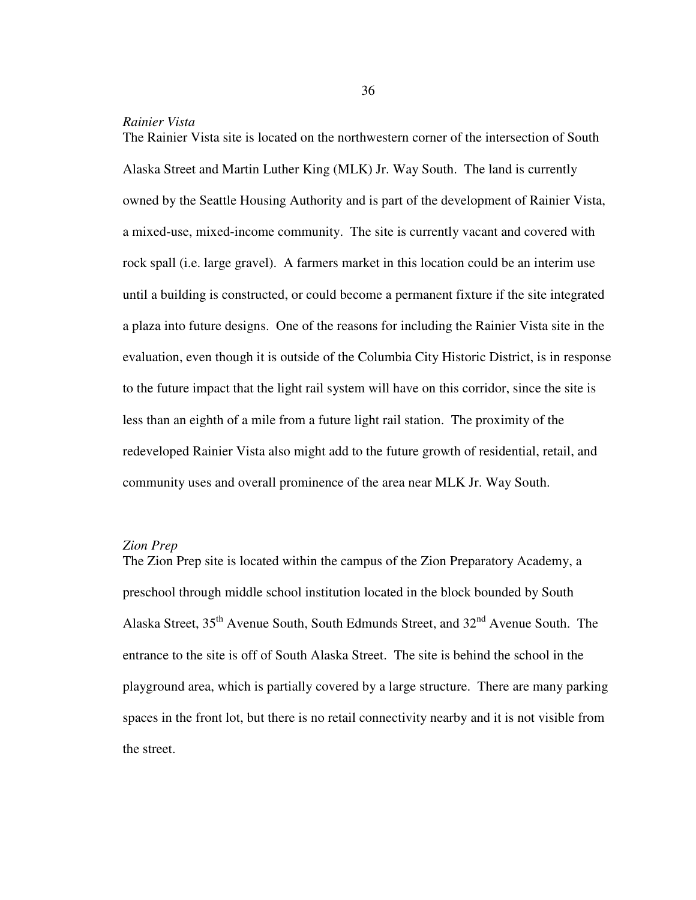## *Rainier Vista*

The Rainier Vista site is located on the northwestern corner of the intersection of South Alaska Street and Martin Luther King (MLK) Jr. Way South. The land is currently owned by the Seattle Housing Authority and is part of the development of Rainier Vista, a mixed-use, mixed-income community. The site is currently vacant and covered with rock spall (i.e. large gravel). A farmers market in this location could be an interim use until a building is constructed, or could become a permanent fixture if the site integrated a plaza into future designs. One of the reasons for including the Rainier Vista site in the evaluation, even though it is outside of the Columbia City Historic District, is in response to the future impact that the light rail system will have on this corridor, since the site is less than an eighth of a mile from a future light rail station. The proximity of the redeveloped Rainier Vista also might add to the future growth of residential, retail, and community uses and overall prominence of the area near MLK Jr. Way South.

## *Zion Prep*

The Zion Prep site is located within the campus of the Zion Preparatory Academy, a preschool through middle school institution located in the block bounded by South Alaska Street,  $35<sup>th</sup>$  Avenue South, South Edmunds Street, and  $32<sup>nd</sup>$  Avenue South. The entrance to the site is off of South Alaska Street. The site is behind the school in the playground area, which is partially covered by a large structure. There are many parking spaces in the front lot, but there is no retail connectivity nearby and it is not visible from the street.

36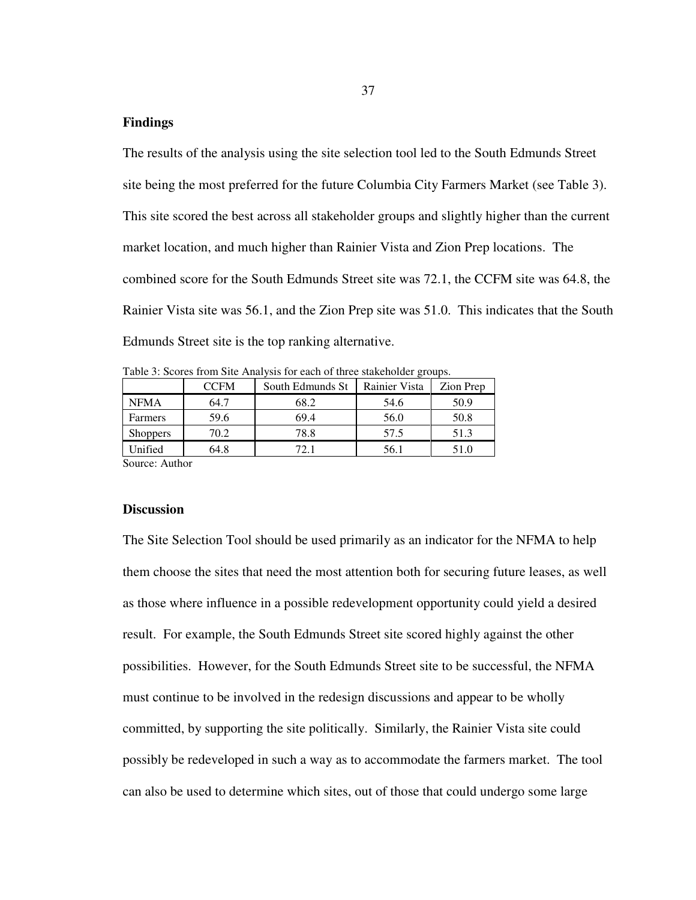# **Findings**

The results of the analysis using the site selection tool led to the South Edmunds Street site being the most preferred for the future Columbia City Farmers Market (see Table 3). This site scored the best across all stakeholder groups and slightly higher than the current market location, and much higher than Rainier Vista and Zion Prep locations. The combined score for the South Edmunds Street site was 72.1, the CCFM site was 64.8, the Rainier Vista site was 56.1, and the Zion Prep site was 51.0. This indicates that the South Edmunds Street site is the top ranking alternative.

Table 3: Scores from Site Analysis for each of three stakeholder groups.

|                                | <b>CCFM</b> | South Edmunds St | Rainier Vista | Zion Prep |
|--------------------------------|-------------|------------------|---------------|-----------|
| <b>NFMA</b>                    | 64.7        | 68.2<br>54.6     |               | 50.9      |
| Farmers                        | 59.6        | 69.4             | 56.0          | 50.8      |
| <b>Shoppers</b>                | 70.2        | 78.8             | 57.5          | 51.3      |
| Unified                        | 64.8        | 72.1             | 56.1          | 51.0      |
| $\alpha$ . $\alpha$ . $\alpha$ |             |                  |               |           |

Source: Author

# **Discussion**

The Site Selection Tool should be used primarily as an indicator for the NFMA to help them choose the sites that need the most attention both for securing future leases, as well as those where influence in a possible redevelopment opportunity could yield a desired result. For example, the South Edmunds Street site scored highly against the other possibilities. However, for the South Edmunds Street site to be successful, the NFMA must continue to be involved in the redesign discussions and appear to be wholly committed, by supporting the site politically. Similarly, the Rainier Vista site could possibly be redeveloped in such a way as to accommodate the farmers market. The tool can also be used to determine which sites, out of those that could undergo some large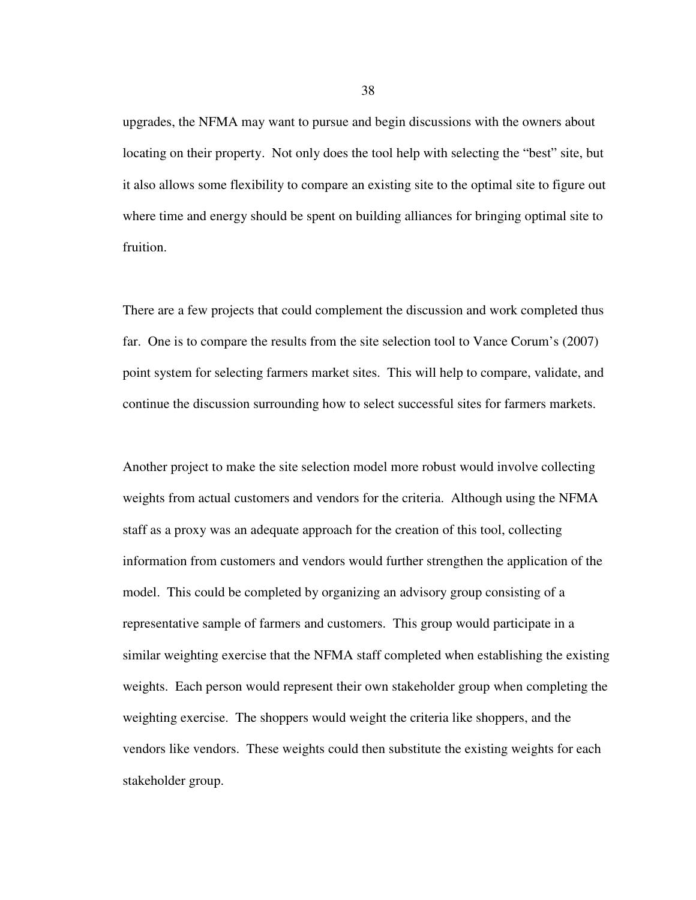upgrades, the NFMA may want to pursue and begin discussions with the owners about locating on their property. Not only does the tool help with selecting the "best" site, but it also allows some flexibility to compare an existing site to the optimal site to figure out where time and energy should be spent on building alliances for bringing optimal site to fruition.

There are a few projects that could complement the discussion and work completed thus far. One is to compare the results from the site selection tool to Vance Corum's (2007) point system for selecting farmers market sites. This will help to compare, validate, and continue the discussion surrounding how to select successful sites for farmers markets.

Another project to make the site selection model more robust would involve collecting weights from actual customers and vendors for the criteria. Although using the NFMA staff as a proxy was an adequate approach for the creation of this tool, collecting information from customers and vendors would further strengthen the application of the model. This could be completed by organizing an advisory group consisting of a representative sample of farmers and customers. This group would participate in a similar weighting exercise that the NFMA staff completed when establishing the existing weights. Each person would represent their own stakeholder group when completing the weighting exercise. The shoppers would weight the criteria like shoppers, and the vendors like vendors. These weights could then substitute the existing weights for each stakeholder group.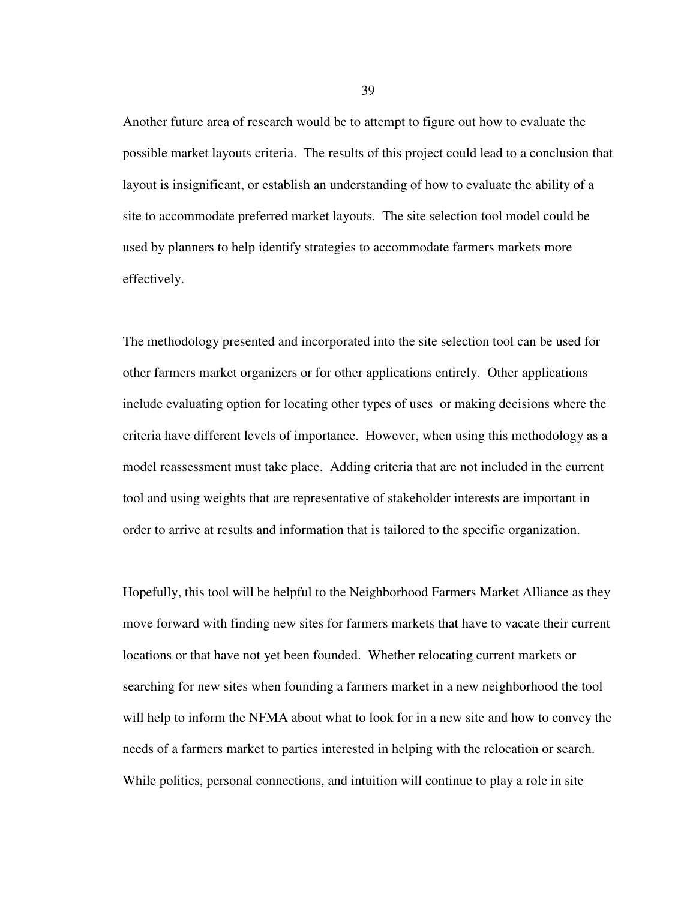Another future area of research would be to attempt to figure out how to evaluate the possible market layouts criteria. The results of this project could lead to a conclusion that layout is insignificant, or establish an understanding of how to evaluate the ability of a site to accommodate preferred market layouts. The site selection tool model could be used by planners to help identify strategies to accommodate farmers markets more effectively.

The methodology presented and incorporated into the site selection tool can be used for other farmers market organizers or for other applications entirely. Other applications include evaluating option for locating other types of uses or making decisions where the criteria have different levels of importance. However, when using this methodology as a model reassessment must take place. Adding criteria that are not included in the current tool and using weights that are representative of stakeholder interests are important in order to arrive at results and information that is tailored to the specific organization.

Hopefully, this tool will be helpful to the Neighborhood Farmers Market Alliance as they move forward with finding new sites for farmers markets that have to vacate their current locations or that have not yet been founded. Whether relocating current markets or searching for new sites when founding a farmers market in a new neighborhood the tool will help to inform the NFMA about what to look for in a new site and how to convey the needs of a farmers market to parties interested in helping with the relocation or search. While politics, personal connections, and intuition will continue to play a role in site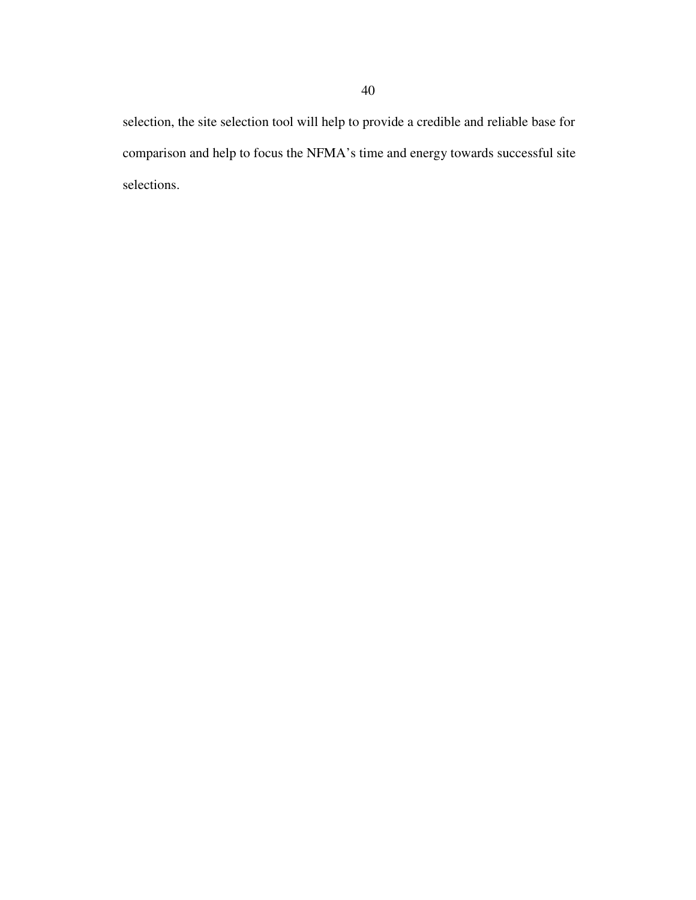selection, the site selection tool will help to provide a credible and reliable base for comparison and help to focus the NFMA's time and energy towards successful site selections.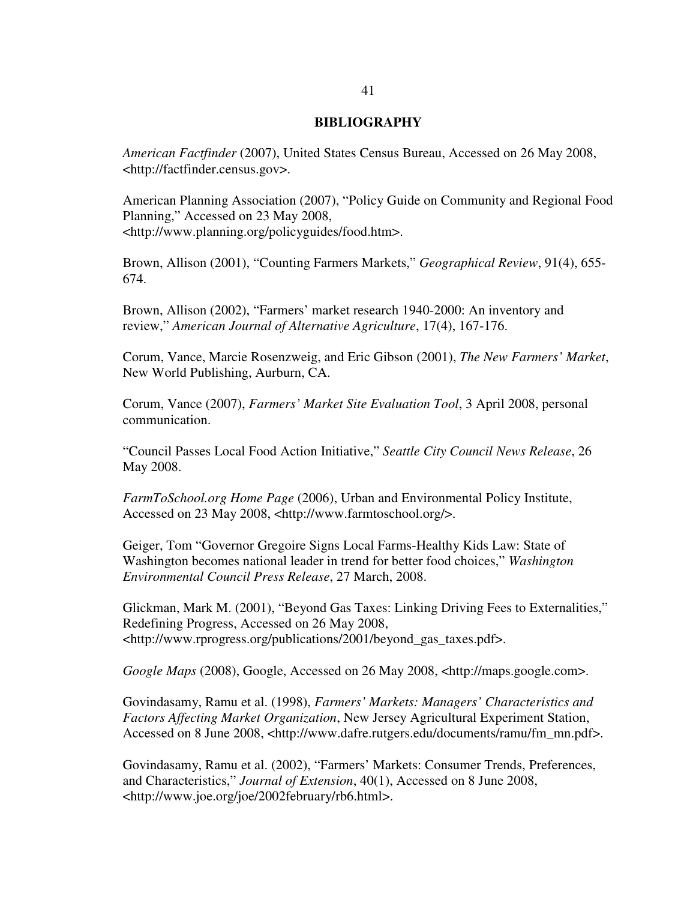## **BIBLIOGRAPHY**

*American Factfinder* (2007), United States Census Bureau, Accessed on 26 May 2008, <http://factfinder.census.gov>.

American Planning Association (2007), "Policy Guide on Community and Regional Food Planning," Accessed on 23 May 2008, <http://www.planning.org/policyguides/food.htm>.

Brown, Allison (2001), "Counting Farmers Markets," *Geographical Review*, 91(4), 655- 674.

Brown, Allison (2002), "Farmers' market research 1940-2000: An inventory and review," *American Journal of Alternative Agriculture*, 17(4), 167-176.

Corum, Vance, Marcie Rosenzweig, and Eric Gibson (2001), *The New Farmers' Market*, New World Publishing, Aurburn, CA.

Corum, Vance (2007), *Farmers' Market Site Evaluation Tool*, 3 April 2008, personal communication.

"Council Passes Local Food Action Initiative," *Seattle City Council News Release*, 26 May 2008.

*FarmToSchool.org Home Page* (2006), Urban and Environmental Policy Institute, Accessed on 23 May 2008, <http://www.farmtoschool.org/>.

Geiger, Tom "Governor Gregoire Signs Local Farms-Healthy Kids Law: State of Washington becomes national leader in trend for better food choices," *Washington Environmental Council Press Release*, 27 March, 2008.

Glickman, Mark M. (2001), "Beyond Gas Taxes: Linking Driving Fees to Externalities," Redefining Progress, Accessed on 26 May 2008, <http://www.rprogress.org/publications/2001/beyond\_gas\_taxes.pdf>.

*Google Maps* (2008), Google, Accessed on 26 May 2008, <http://maps.google.com>.

Govindasamy, Ramu et al. (1998), *Farmers' Markets: Managers' Characteristics and Factors Affecting Market Organization*, New Jersey Agricultural Experiment Station, Accessed on 8 June 2008, <http://www.dafre.rutgers.edu/documents/ramu/fm\_mn.pdf>.

Govindasamy, Ramu et al. (2002), "Farmers' Markets: Consumer Trends, Preferences, and Characteristics," *Journal of Extension*, 40(1), Accessed on 8 June 2008, <http://www.joe.org/joe/2002february/rb6.html>.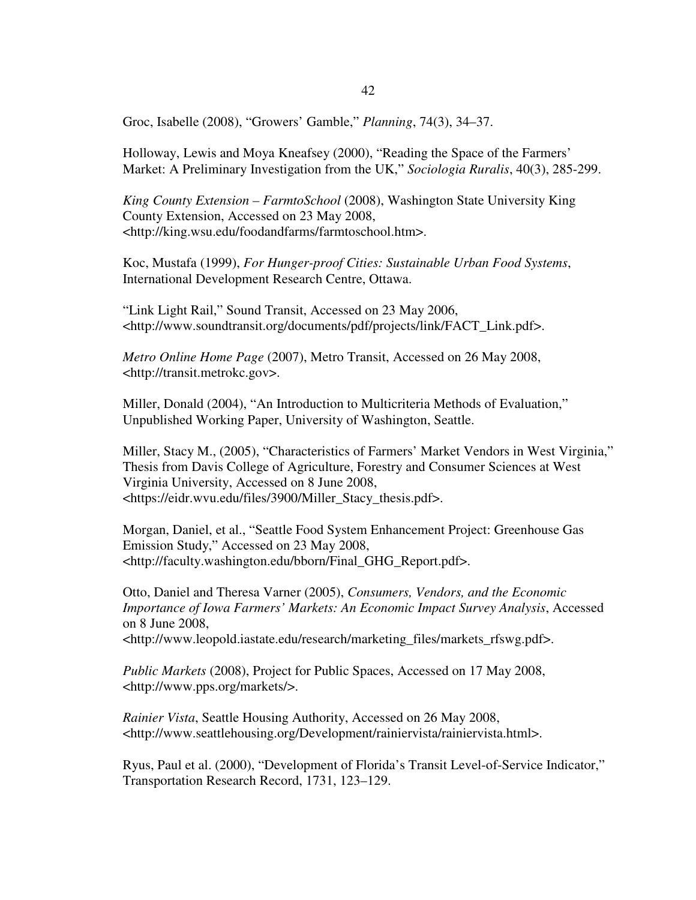Groc, Isabelle (2008), "Growers' Gamble," *Planning*, 74(3), 34–37.

Holloway, Lewis and Moya Kneafsey (2000), "Reading the Space of the Farmers' Market: A Preliminary Investigation from the UK," *Sociologia Ruralis*, 40(3), 285-299.

*King County Extension – FarmtoSchool* (2008), Washington State University King County Extension, Accessed on 23 May 2008, <http://king.wsu.edu/foodandfarms/farmtoschool.htm>.

Koc, Mustafa (1999), *For Hunger-proof Cities: Sustainable Urban Food Systems*, International Development Research Centre, Ottawa.

"Link Light Rail," Sound Transit, Accessed on 23 May 2006, <http://www.soundtransit.org/documents/pdf/projects/link/FACT\_Link.pdf>.

*Metro Online Home Page* (2007), Metro Transit, Accessed on 26 May 2008, <http://transit.metrokc.gov>.

Miller, Donald (2004), "An Introduction to Multicriteria Methods of Evaluation," Unpublished Working Paper, University of Washington, Seattle.

Miller, Stacy M., (2005), "Characteristics of Farmers' Market Vendors in West Virginia," Thesis from Davis College of Agriculture, Forestry and Consumer Sciences at West Virginia University, Accessed on 8 June 2008, <https://eidr.wvu.edu/files/3900/Miller\_Stacy\_thesis.pdf>.

Morgan, Daniel, et al., "Seattle Food System Enhancement Project: Greenhouse Gas Emission Study," Accessed on 23 May 2008, <http://faculty.washington.edu/bborn/Final\_GHG\_Report.pdf>.

Otto, Daniel and Theresa Varner (2005), *Consumers, Vendors, and the Economic Importance of Iowa Farmers' Markets: An Economic Impact Survey Analysis*, Accessed on 8 June 2008, <http://www.leopold.iastate.edu/research/marketing\_files/markets\_rfswg.pdf>.

*Public Markets* (2008), Project for Public Spaces, Accessed on 17 May 2008, <http://www.pps.org/markets/>.

*Rainier Vista*, Seattle Housing Authority, Accessed on 26 May 2008, <http://www.seattlehousing.org/Development/rainiervista/rainiervista.html>.

Ryus, Paul et al. (2000), "Development of Florida's Transit Level-of-Service Indicator," Transportation Research Record, 1731, 123–129.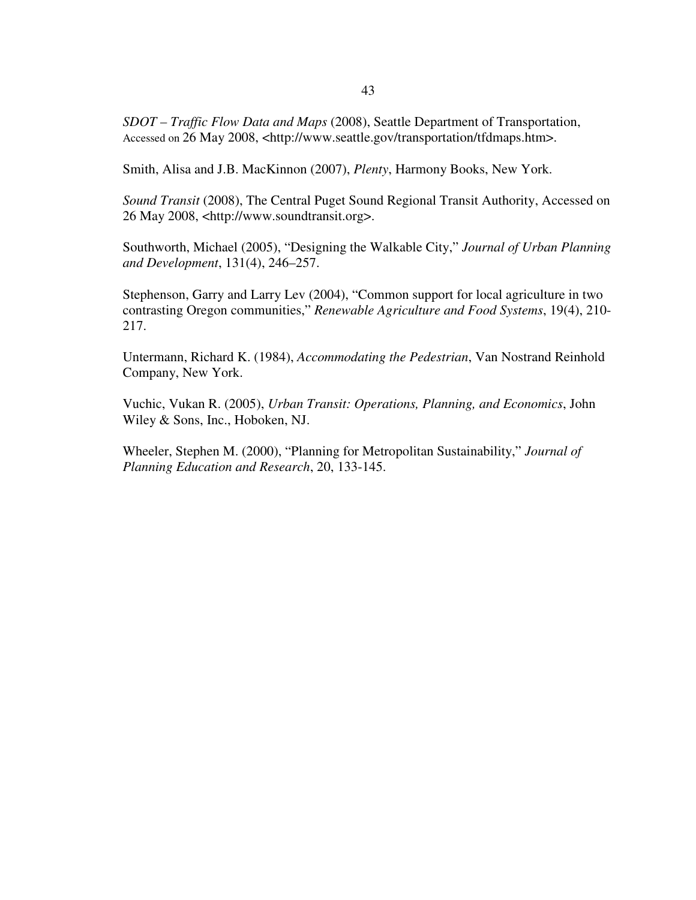*SDOT – Traffic Flow Data and Maps* (2008), Seattle Department of Transportation, Accessed on 26 May 2008, <http://www.seattle.gov/transportation/tfdmaps.htm>.

Smith, Alisa and J.B. MacKinnon (2007), *Plenty*, Harmony Books, New York.

*Sound Transit* (2008), The Central Puget Sound Regional Transit Authority, Accessed on 26 May 2008, <http://www.soundtransit.org>.

Southworth, Michael (2005), "Designing the Walkable City," *Journal of Urban Planning and Development*, 131(4), 246–257.

Stephenson, Garry and Larry Lev (2004), "Common support for local agriculture in two contrasting Oregon communities," *Renewable Agriculture and Food Systems*, 19(4), 210- 217.

Untermann, Richard K. (1984), *Accommodating the Pedestrian*, Van Nostrand Reinhold Company, New York.

Vuchic, Vukan R. (2005), *Urban Transit: Operations, Planning, and Economics*, John Wiley & Sons, Inc., Hoboken, NJ.

Wheeler, Stephen M. (2000), "Planning for Metropolitan Sustainability," *Journal of Planning Education and Research*, 20, 133-145.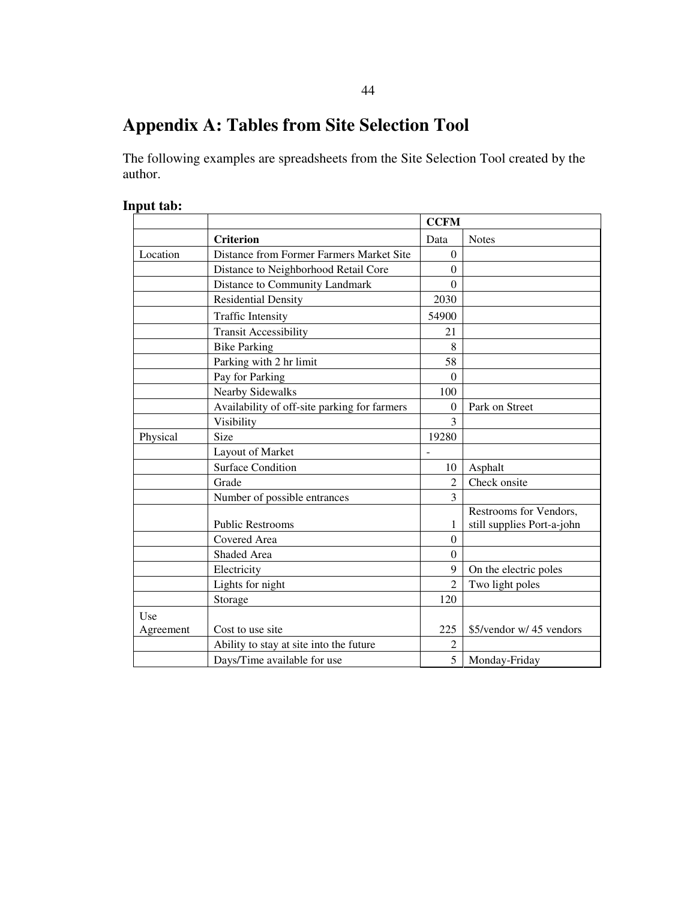# **Appendix A: Tables from Site Selection Tool**

The following examples are spreadsheets from the Site Selection Tool created by the author.

# **Input tab:**

|                  |                                              | <b>CCFM</b>    |                            |  |  |
|------------------|----------------------------------------------|----------------|----------------------------|--|--|
|                  | <b>Criterion</b>                             | Data           | <b>Notes</b>               |  |  |
| Location         | Distance from Former Farmers Market Site     | $\Omega$       |                            |  |  |
|                  | Distance to Neighborhood Retail Core         | 0              |                            |  |  |
|                  | Distance to Community Landmark               | $\Omega$       |                            |  |  |
|                  | <b>Residential Density</b>                   | 2030           |                            |  |  |
|                  | <b>Traffic Intensity</b>                     | 54900          |                            |  |  |
|                  | <b>Transit Accessibility</b>                 | 21             |                            |  |  |
|                  | <b>Bike Parking</b>                          | 8              |                            |  |  |
|                  | Parking with 2 hr limit                      | 58             |                            |  |  |
|                  | Pay for Parking                              | $\Omega$       |                            |  |  |
|                  | <b>Nearby Sidewalks</b>                      | 100            |                            |  |  |
|                  | Availability of off-site parking for farmers | $\theta$       | Park on Street             |  |  |
|                  | Visibility                                   | 3              |                            |  |  |
| Physical         | Size                                         | 19280          |                            |  |  |
|                  | Layout of Market                             |                |                            |  |  |
|                  | <b>Surface Condition</b>                     | 10             | Asphalt                    |  |  |
|                  | Grade                                        | 2              | Check onsite               |  |  |
|                  | Number of possible entrances                 | 3              |                            |  |  |
|                  |                                              |                | Restrooms for Vendors,     |  |  |
|                  | <b>Public Restrooms</b>                      | 1              | still supplies Port-a-john |  |  |
|                  | Covered Area                                 | $\Omega$       |                            |  |  |
|                  | Shaded Area                                  | $\theta$       |                            |  |  |
|                  | Electricity                                  | 9              | On the electric poles      |  |  |
|                  | Lights for night                             | $\overline{2}$ | Two light poles            |  |  |
|                  | Storage                                      | 120            |                            |  |  |
| Use<br>Agreement | Cost to use site                             | 225            | \$5/vendor w/ 45 vendors   |  |  |
|                  | Ability to stay at site into the future      | $\overline{2}$ |                            |  |  |
|                  | Days/Time available for use                  | 5              | Monday-Friday              |  |  |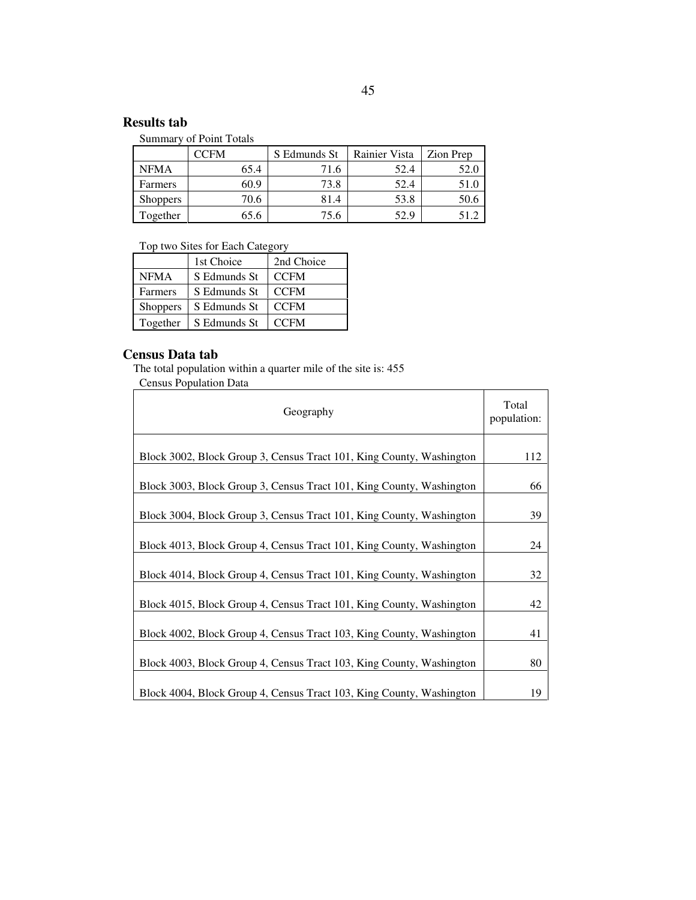# **Results tab**

Summary of Point Totals

|                 | CFM: | S Edmunds St | <b>Rainier Vista</b> | Zion Prep |
|-----------------|------|--------------|----------------------|-----------|
| <b>NFMA</b>     | 65.4 | 71.6         | 52.4                 |           |
| Farmers         | 60.9 | 73.8         | 52.4                 |           |
| <b>Shoppers</b> | 70.6 | 81.4         | 53.8                 | 50.6      |
| Together        |      | 75.6         | 52.9                 |           |

Top two Sites for Each Category

|                 | 1st Choice   | 2nd Choice  |
|-----------------|--------------|-------------|
| <b>NFMA</b>     | S Edmunds St | <b>CCFM</b> |
| Farmers         | S Edmunds St | <b>CCFM</b> |
| <b>Shoppers</b> | S Edmunds St | <b>CCFM</b> |
| Together        | S Edmunds St | <b>CCFM</b> |

# **Census Data tab**

The total population within a quarter mile of the site is: 455 Census Population Data

| Geography                                                            | Total<br>population: |
|----------------------------------------------------------------------|----------------------|
| Block 3002, Block Group 3, Census Tract 101, King County, Washington | 112                  |
| Block 3003, Block Group 3, Census Tract 101, King County, Washington | 66                   |
| Block 3004, Block Group 3, Census Tract 101, King County, Washington | 39                   |
| Block 4013, Block Group 4, Census Tract 101, King County, Washington | 24                   |
| Block 4014, Block Group 4, Census Tract 101, King County, Washington | 32                   |
| Block 4015, Block Group 4, Census Tract 101, King County, Washington | 42                   |
| Block 4002, Block Group 4, Census Tract 103, King County, Washington | 41                   |
| Block 4003, Block Group 4, Census Tract 103, King County, Washington | 80                   |
| Block 4004, Block Group 4, Census Tract 103, King County, Washington | 19                   |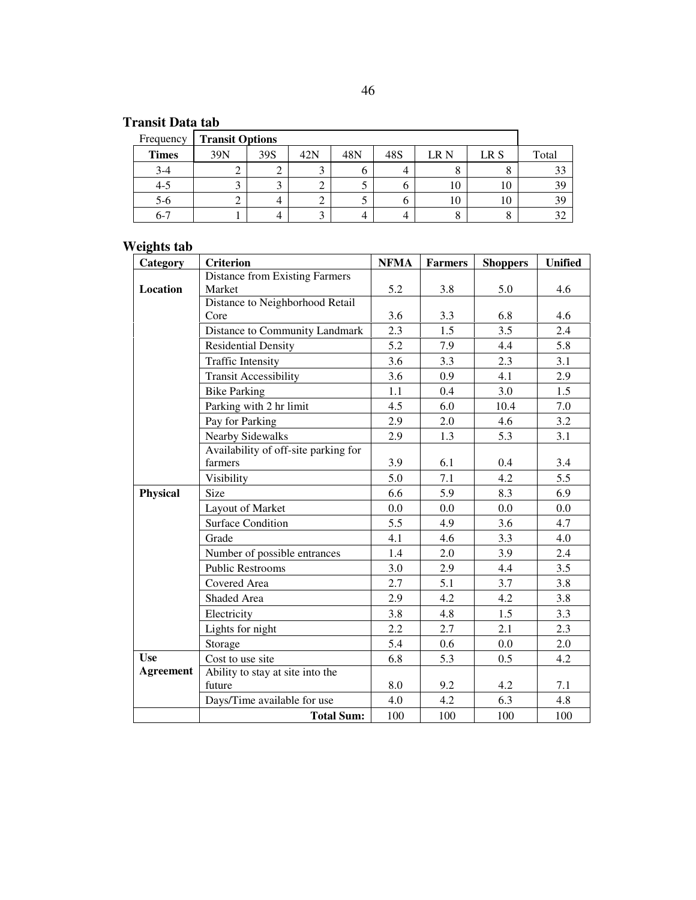# **Transit Data tab**

| Frequency    | <b>Transit Options</b> |     |                     |     |     |      |      |       |
|--------------|------------------------|-----|---------------------|-----|-----|------|------|-------|
| <b>Times</b> | 39N                    | 39S | 42N                 | 48N | 48S | LR N | LR S | Total |
| $3-4$        | ∠                      | ∠   | $\overline{a}$<br>◡ |     | ⊿   |      | O    | 33    |
| 4-5          | ⌒<br>◡                 |     | ⌒<br>∠              |     |     | 10   | 10   | 39    |
| $5-6$        | ∠                      |     | ◠<br>∠              | ◡   | O   | 10   | 10   | 39    |
| $6 - 7$      |                        |     | ⌒<br>◡              |     |     |      | Õ    | 32    |

# **Weights tab**

| Category         | <b>Criterion</b>                      | <b>NFMA</b> | <b>Farmers</b> | <b>Shoppers</b> | <b>Unified</b> |
|------------------|---------------------------------------|-------------|----------------|-----------------|----------------|
|                  | <b>Distance from Existing Farmers</b> |             |                |                 |                |
| Location         | Market                                | 5.2         | 3.8            | 5.0             | 4.6            |
|                  | Distance to Neighborhood Retail       |             |                |                 |                |
|                  | Core                                  | 3.6         | 3.3            | 6.8             | 4.6            |
|                  | Distance to Community Landmark        | 2.3         | 1.5            | 3.5             | 2.4            |
|                  | <b>Residential Density</b>            | 5.2         | 7.9            | 4.4             | 5.8            |
|                  | <b>Traffic Intensity</b>              | 3.6         | 3.3            | 2.3             | 3.1            |
|                  | <b>Transit Accessibility</b>          | 3.6         | 0.9            | 4.1             | 2.9            |
|                  | <b>Bike Parking</b>                   | 1.1         | 0.4            | 3.0             | 1.5            |
|                  | Parking with 2 hr limit               | 4.5         | 6.0            | 10.4            | 7.0            |
|                  | Pay for Parking                       | 2.9         | 2.0            | 4.6             | 3.2            |
|                  | Nearby Sidewalks                      | 2.9         | 1.3            | 5.3             | 3.1            |
|                  | Availability of off-site parking for  |             |                |                 |                |
|                  | farmers                               | 3.9         | 6.1            | 0.4             | 3.4            |
|                  | Visibility                            | 5.0         | 7.1            | 4.2             | 5.5            |
| Physical         | Size                                  | 6.6         | 5.9            | 8.3             | 6.9            |
|                  | Layout of Market                      | 0.0         | 0.0            | 0.0             | 0.0            |
|                  | <b>Surface Condition</b>              | 5.5         | 4.9            | 3.6             | 4.7            |
|                  | Grade                                 | 4.1         | 4.6            | 3.3             | 4.0            |
|                  | Number of possible entrances          | 1.4         | 2.0            | 3.9             | 2.4            |
|                  | <b>Public Restrooms</b>               | 3.0         | 2.9            | 4.4             | 3.5            |
|                  | Covered Area                          | 2.7         | 5.1            | 3.7             | 3.8            |
|                  | Shaded Area                           | 2.9         | 4.2            | 4.2             | 3.8            |
|                  | Electricity                           | 3.8         | 4.8            | 1.5             | 3.3            |
|                  | Lights for night                      | 2.2         | 2.7            | 2.1             | 2.3            |
|                  | Storage                               | 5.4         | 0.6            | 0.0             | 2.0            |
| <b>Use</b>       | Cost to use site                      | 6.8         | 5.3            | 0.5             | 4.2            |
| <b>Agreement</b> | Ability to stay at site into the      |             |                |                 |                |
|                  | future                                | 8.0         | 9.2            | 4.2             | 7.1            |
|                  | Days/Time available for use           | 4.0         | 4.2            | 6.3             | 4.8            |
|                  | <b>Total Sum:</b>                     | 100         | 100            | 100             | 100            |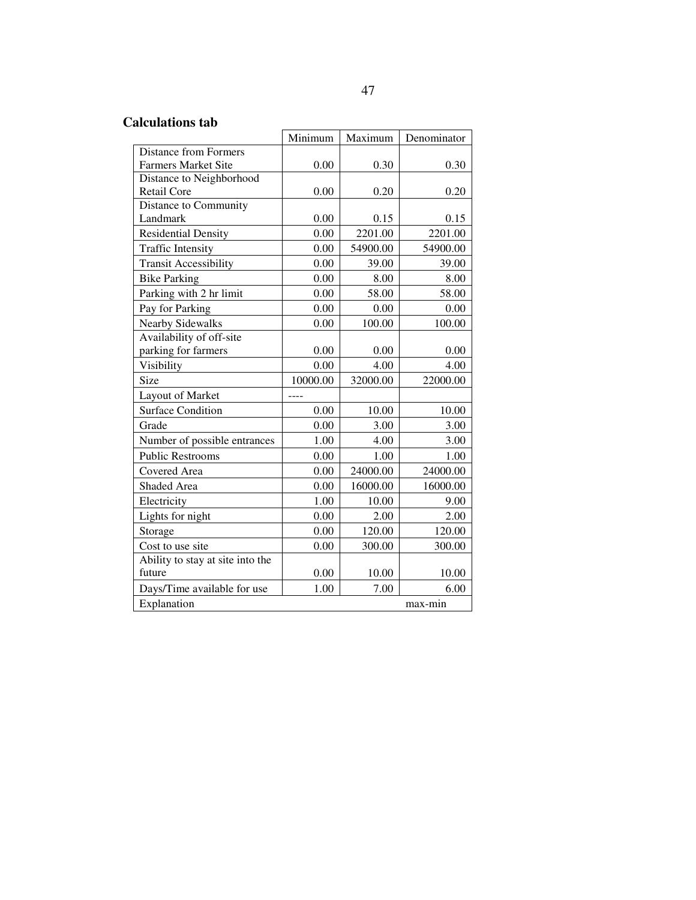# **Calculations tab**

|                                  | Minimum  | Maximum  | Denominator |  |
|----------------------------------|----------|----------|-------------|--|
| <b>Distance from Formers</b>     |          |          |             |  |
| <b>Farmers Market Site</b>       | 0.00     | 0.30     | 0.30        |  |
| Distance to Neighborhood         |          |          |             |  |
| Retail Core                      | 0.00     | 0.20     | 0.20        |  |
| Distance to Community            |          |          |             |  |
| Landmark                         | 0.00     | 0.15     | 0.15        |  |
| <b>Residential Density</b>       | 0.00     | 2201.00  | 2201.00     |  |
| <b>Traffic Intensity</b>         | 0.00     | 54900.00 | 54900.00    |  |
| <b>Transit Accessibility</b>     | 0.00     | 39.00    | 39.00       |  |
| <b>Bike Parking</b>              | 0.00     | 8.00     | 8.00        |  |
| Parking with 2 hr limit          | 0.00     | 58.00    | 58.00       |  |
| Pay for Parking                  | 0.00     | 0.00     | 0.00        |  |
| <b>Nearby Sidewalks</b>          | 0.00     | 100.00   | 100.00      |  |
| Availability of off-site         |          |          |             |  |
| parking for farmers              | 0.00     | 0.00     | 0.00        |  |
| Visibility                       | 0.00     | 4.00     | 4.00        |  |
| Size                             | 10000.00 | 32000.00 | 22000.00    |  |
| Layout of Market                 | ----     |          |             |  |
| <b>Surface Condition</b>         | 0.00     | 10.00    | 10.00       |  |
| Grade                            | 0.00     | 3.00     | 3.00        |  |
| Number of possible entrances     | 1.00     | 4.00     | 3.00        |  |
| <b>Public Restrooms</b>          | 0.00     | 1.00     | 1.00        |  |
| Covered Area                     | 0.00     | 24000.00 | 24000.00    |  |
| Shaded Area                      | 0.00     | 16000.00 | 16000.00    |  |
| Electricity                      | 1.00     | 10.00    | 9.00        |  |
| Lights for night                 | 0.00     | 2.00     | 2.00        |  |
| Storage                          | 0.00     | 120.00   | 120.00      |  |
| Cost to use site                 | 0.00     | 300.00   | 300.00      |  |
| Ability to stay at site into the |          |          |             |  |
| future                           | 0.00     | 10.00    | 10.00       |  |
| Days/Time available for use      | 1.00     | 7.00     | 6.00        |  |
| Explanation<br>max-min           |          |          |             |  |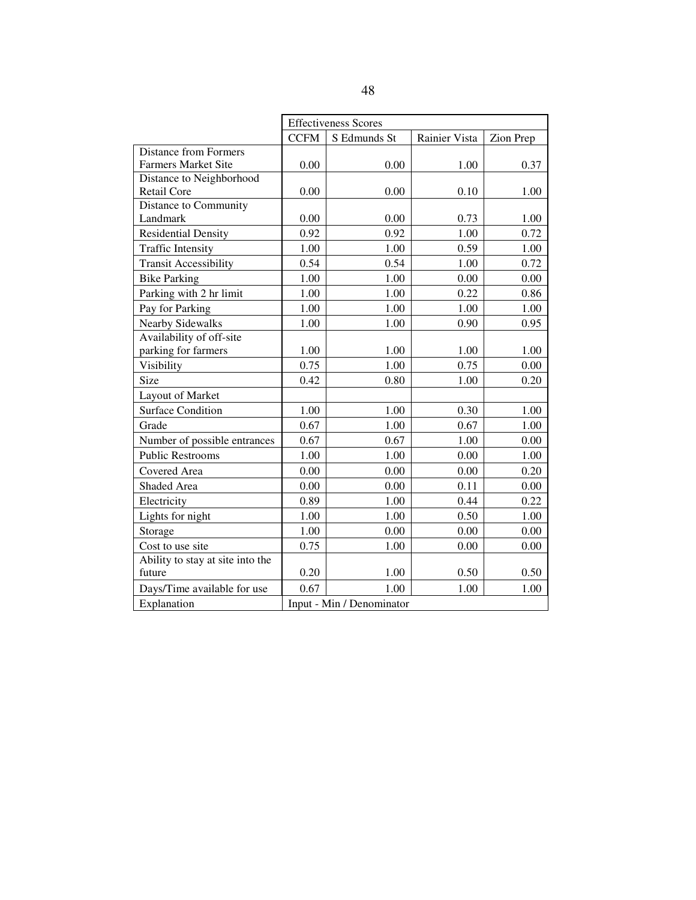|                                  | <b>Effectiveness Scores</b> |              |               |           |  |
|----------------------------------|-----------------------------|--------------|---------------|-----------|--|
|                                  | <b>CCFM</b>                 | S Edmunds St | Rainier Vista | Zion Prep |  |
| <b>Distance from Formers</b>     |                             |              |               |           |  |
| <b>Farmers Market Site</b>       | 0.00                        | 0.00         | 1.00          | 0.37      |  |
| Distance to Neighborhood         |                             |              |               |           |  |
| <b>Retail Core</b>               | 0.00                        | 0.00         | 0.10          | 1.00      |  |
| Distance to Community            |                             |              |               |           |  |
| Landmark                         | 0.00                        | 0.00         | 0.73          | 1.00      |  |
| <b>Residential Density</b>       | 0.92                        | 0.92         | 1.00          | 0.72      |  |
| <b>Traffic Intensity</b>         | 1.00                        | 1.00         | 0.59          | 1.00      |  |
| <b>Transit Accessibility</b>     | 0.54                        | 0.54         | 1.00          | 0.72      |  |
| <b>Bike Parking</b>              | 1.00                        | 1.00         | 0.00          | 0.00      |  |
| Parking with 2 hr limit          | 1.00                        | 1.00         | 0.22          | 0.86      |  |
| Pay for Parking                  | 1.00                        | 1.00         | 1.00          | 1.00      |  |
| <b>Nearby Sidewalks</b>          | 1.00                        | 1.00         | 0.90          | 0.95      |  |
| Availability of off-site         |                             |              |               |           |  |
| parking for farmers              | 1.00                        | 1.00         | 1.00          | 1.00      |  |
| Visibility                       | 0.75                        | 1.00         | 0.75          | 0.00      |  |
| Size                             | 0.42                        | 0.80         | 1.00          | 0.20      |  |
| Layout of Market                 |                             |              |               |           |  |
| <b>Surface Condition</b>         | 1.00                        | 1.00         | 0.30          | 1.00      |  |
| Grade                            | 0.67                        | 1.00         | 0.67          | 1.00      |  |
| Number of possible entrances     | 0.67                        | 0.67         | 1.00          | 0.00      |  |
| <b>Public Restrooms</b>          | 1.00                        | 1.00         | 0.00          | 1.00      |  |
| Covered Area                     | 0.00                        | 0.00         | 0.00          | 0.20      |  |
| Shaded Area                      | 0.00                        | 0.00         | 0.11          | 0.00      |  |
| Electricity                      | 0.89                        | 1.00         | 0.44          | 0.22      |  |
| Lights for night                 | 1.00                        | 1.00         | 0.50          | 1.00      |  |
| Storage                          | 1.00                        | 0.00         | 0.00          | 0.00      |  |
| Cost to use site                 | 0.75                        | 1.00         | 0.00          | 0.00      |  |
| Ability to stay at site into the |                             |              |               |           |  |
| future                           | 0.20                        | 1.00         | 0.50          | 0.50      |  |
| Days/Time available for use      | 0.67                        | 1.00         | 1.00          | 1.00      |  |
| Explanation                      | Input - Min / Denominator   |              |               |           |  |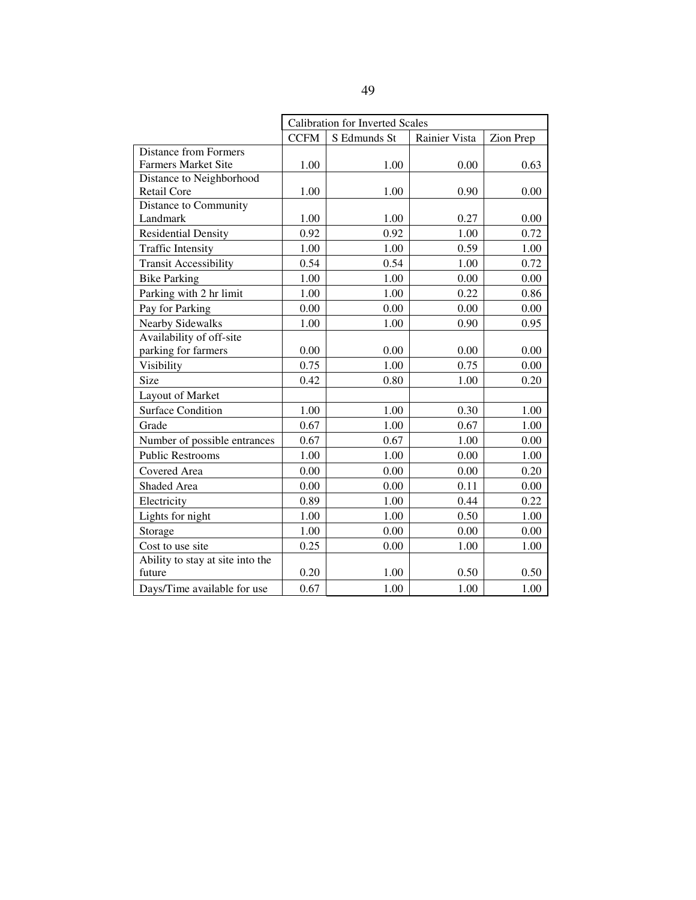|                                  | <b>Calibration for Inverted Scales</b> |              |               |           |  |
|----------------------------------|----------------------------------------|--------------|---------------|-----------|--|
|                                  | <b>CCFM</b>                            | S Edmunds St | Rainier Vista | Zion Prep |  |
| <b>Distance from Formers</b>     |                                        |              |               |           |  |
| <b>Farmers Market Site</b>       | 1.00                                   | 1.00         | 0.00          | 0.63      |  |
| Distance to Neighborhood         |                                        |              |               |           |  |
| <b>Retail Core</b>               | 1.00                                   | 1.00         | 0.90          | 0.00      |  |
| Distance to Community            |                                        |              |               |           |  |
| Landmark                         | 1.00                                   | 1.00         | 0.27          | 0.00      |  |
| <b>Residential Density</b>       | 0.92                                   | 0.92         | 1.00          | 0.72      |  |
| <b>Traffic Intensity</b>         | 1.00                                   | 1.00         | 0.59          | 1.00      |  |
| <b>Transit Accessibility</b>     | 0.54                                   | 0.54         | 1.00          | 0.72      |  |
| <b>Bike Parking</b>              | 1.00                                   | 1.00         | 0.00          | 0.00      |  |
| Parking with 2 hr limit          | 1.00                                   | 1.00         | 0.22          | 0.86      |  |
| Pay for Parking                  | 0.00                                   | 0.00         | 0.00          | 0.00      |  |
| <b>Nearby Sidewalks</b>          | 1.00                                   | 1.00         | 0.90          | 0.95      |  |
| Availability of off-site         |                                        |              |               |           |  |
| parking for farmers              | 0.00                                   | 0.00         | 0.00          | 0.00      |  |
| Visibility                       | 0.75                                   | 1.00         | 0.75          | 0.00      |  |
| Size                             | 0.42                                   | 0.80         | 1.00          | 0.20      |  |
| Layout of Market                 |                                        |              |               |           |  |
| <b>Surface Condition</b>         | 1.00                                   | 1.00         | 0.30          | 1.00      |  |
| Grade                            | 0.67                                   | 1.00         | 0.67          | 1.00      |  |
| Number of possible entrances     | 0.67                                   | 0.67         | 1.00          | 0.00      |  |
| <b>Public Restrooms</b>          | 1.00                                   | 1.00         | 0.00          | 1.00      |  |
| Covered Area                     | 0.00                                   | 0.00         | 0.00          | 0.20      |  |
| Shaded Area                      | 0.00                                   | 0.00         | 0.11          | 0.00      |  |
| Electricity                      | 0.89                                   | 1.00         | 0.44          | 0.22      |  |
| Lights for night                 | 1.00                                   | 1.00         | 0.50          | 1.00      |  |
| Storage                          | 1.00                                   | 0.00         | 0.00          | 0.00      |  |
| Cost to use site                 | 0.25                                   | 0.00         | 1.00          | 1.00      |  |
| Ability to stay at site into the |                                        |              |               |           |  |
| future                           | 0.20                                   | 1.00         | 0.50          | 0.50      |  |
| Days/Time available for use      | 0.67                                   | 1.00         | 1.00          | 1.00      |  |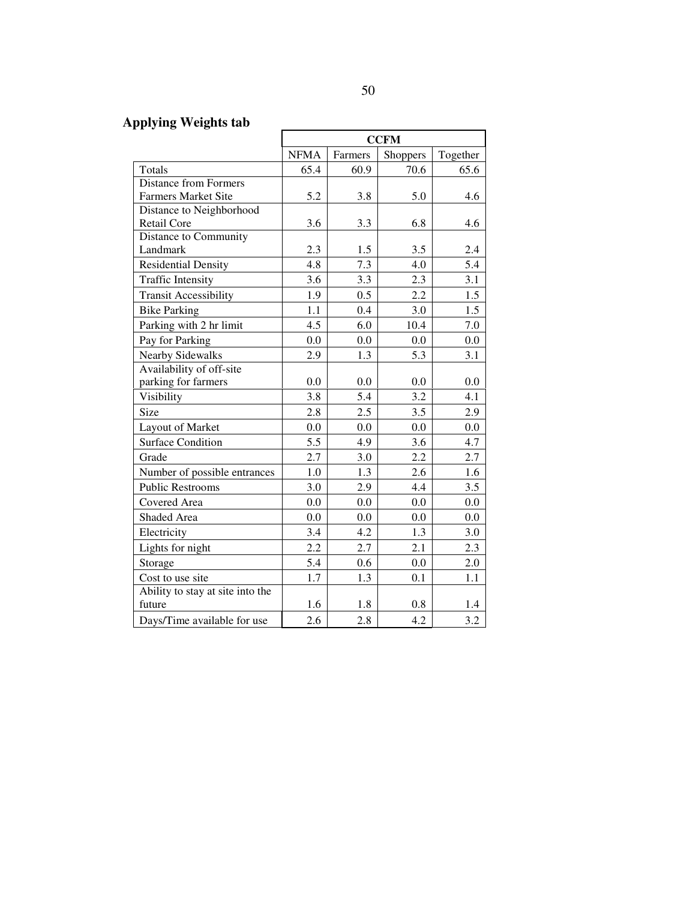# **Applying Weights tab**

|                                  | <b>CCFM</b> |         |                 |          |  |
|----------------------------------|-------------|---------|-----------------|----------|--|
|                                  | <b>NFMA</b> | Farmers | <b>Shoppers</b> | Together |  |
| Totals                           | 65.4        | 60.9    | 70.6            | 65.6     |  |
| <b>Distance from Formers</b>     |             |         |                 |          |  |
| <b>Farmers Market Site</b>       | 5.2         | 3.8     | 5.0             | 4.6      |  |
| Distance to Neighborhood         |             |         |                 |          |  |
| <b>Retail Core</b>               | 3.6         | 3.3     | 6.8             | 4.6      |  |
| Distance to Community            |             |         |                 |          |  |
| Landmark                         | 2.3         | 1.5     | 3.5             | 2.4      |  |
| <b>Residential Density</b>       | 4.8         | 7.3     | 4.0             | 5.4      |  |
| <b>Traffic Intensity</b>         | 3.6         | 3.3     | 2.3             | 3.1      |  |
| <b>Transit Accessibility</b>     | 1.9         | 0.5     | 2.2             | 1.5      |  |
| <b>Bike Parking</b>              | 1.1         | 0.4     | 3.0             | 1.5      |  |
| Parking with 2 hr limit          | 4.5         | 6.0     | 10.4            | 7.0      |  |
| Pay for Parking                  | 0.0         | 0.0     | 0.0             | 0.0      |  |
| <b>Nearby Sidewalks</b>          | 2.9         | 1.3     | 5.3             | 3.1      |  |
| Availability of off-site         |             |         |                 |          |  |
| parking for farmers              | 0.0         | 0.0     | 0.0             | 0.0      |  |
| Visibility                       | 3.8         | 5.4     | 3.2             | 4.1      |  |
| Size                             | 2.8         | 2.5     | 3.5             | 2.9      |  |
| Layout of Market                 | 0.0         | 0.0     | 0.0             | 0.0      |  |
| <b>Surface Condition</b>         | 5.5         | 4.9     | 3.6             | 4.7      |  |
| Grade                            | 2.7         | 3.0     | 2.2             | 2.7      |  |
| Number of possible entrances     | 1.0         | 1.3     | 2.6             | 1.6      |  |
| <b>Public Restrooms</b>          | 3.0         | 2.9     | 4.4             | 3.5      |  |
| Covered Area                     | 0.0         | 0.0     | 0.0             | 0.0      |  |
| Shaded Area                      | 0.0         | 0.0     | 0.0             | 0.0      |  |
| Electricity                      | 3.4         | 4.2     | 1.3             | 3.0      |  |
| Lights for night                 | 2.2         | 2.7     | 2.1             | 2.3      |  |
| Storage                          | 5.4         | 0.6     | 0.0             | 2.0      |  |
| Cost to use site                 | 1.7         | 1.3     | 0.1             | 1.1      |  |
| Ability to stay at site into the |             |         |                 |          |  |
| future                           | 1.6         | 1.8     | 0.8             | 1.4      |  |
| Days/Time available for use      | 2.6         | 2.8     | 4.2             | 3.2      |  |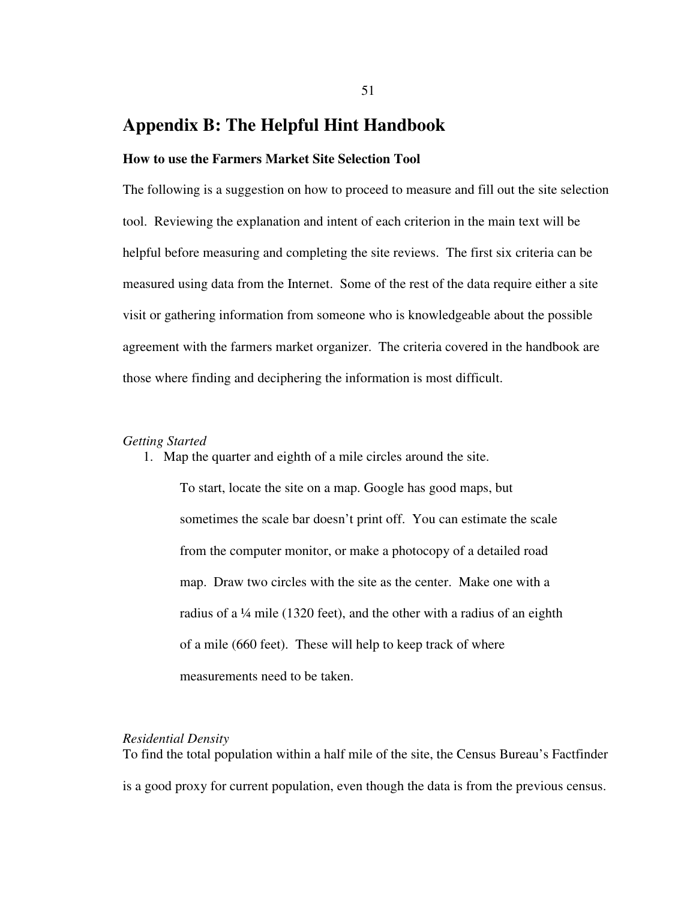# **Appendix B: The Helpful Hint Handbook**

# **How to use the Farmers Market Site Selection Tool**

The following is a suggestion on how to proceed to measure and fill out the site selection tool. Reviewing the explanation and intent of each criterion in the main text will be helpful before measuring and completing the site reviews. The first six criteria can be measured using data from the Internet. Some of the rest of the data require either a site visit or gathering information from someone who is knowledgeable about the possible agreement with the farmers market organizer. The criteria covered in the handbook are those where finding and deciphering the information is most difficult.

# *Getting Started*

1. Map the quarter and eighth of a mile circles around the site.

To start, locate the site on a map. Google has good maps, but sometimes the scale bar doesn't print off. You can estimate the scale from the computer monitor, or make a photocopy of a detailed road map. Draw two circles with the site as the center. Make one with a radius of a ¼ mile (1320 feet), and the other with a radius of an eighth of a mile (660 feet). These will help to keep track of where measurements need to be taken.

# *Residential Density*

To find the total population within a half mile of the site, the Census Bureau's Factfinder is a good proxy for current population, even though the data is from the previous census.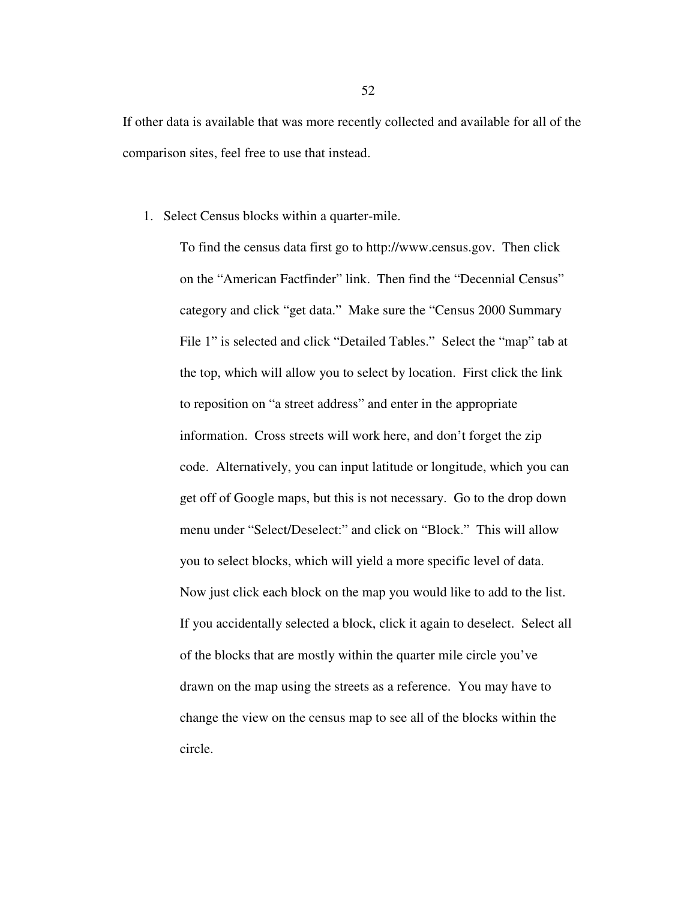If other data is available that was more recently collected and available for all of the comparison sites, feel free to use that instead.

1. Select Census blocks within a quarter-mile.

To find the census data first go to http://www.census.gov. Then click on the "American Factfinder" link. Then find the "Decennial Census" category and click "get data." Make sure the "Census 2000 Summary File 1" is selected and click "Detailed Tables." Select the "map" tab at the top, which will allow you to select by location. First click the link to reposition on "a street address" and enter in the appropriate information. Cross streets will work here, and don't forget the zip code. Alternatively, you can input latitude or longitude, which you can get off of Google maps, but this is not necessary. Go to the drop down menu under "Select/Deselect:" and click on "Block." This will allow you to select blocks, which will yield a more specific level of data. Now just click each block on the map you would like to add to the list. If you accidentally selected a block, click it again to deselect. Select all of the blocks that are mostly within the quarter mile circle you've drawn on the map using the streets as a reference. You may have to change the view on the census map to see all of the blocks within the circle.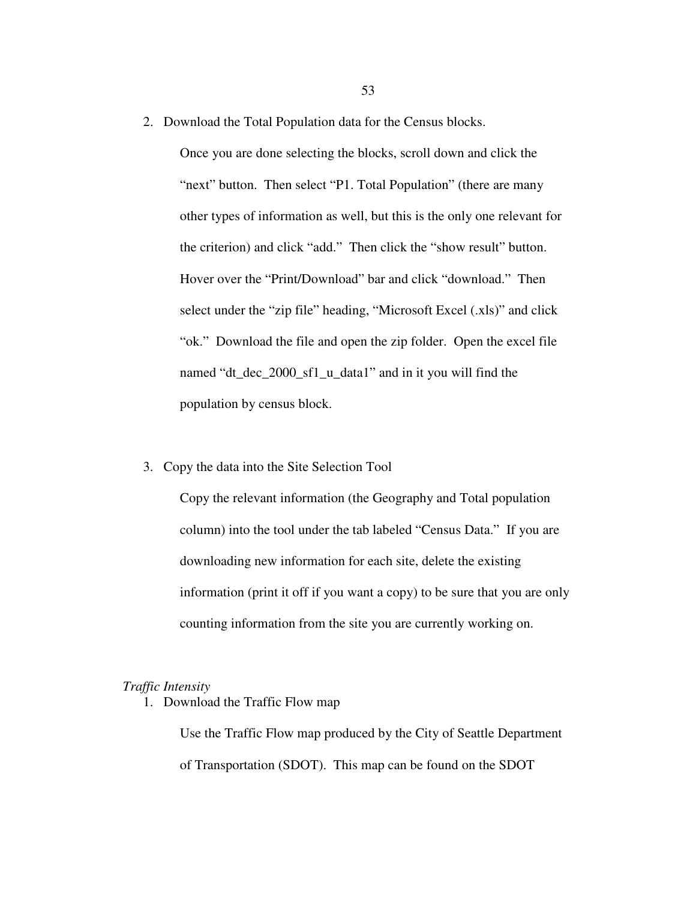2. Download the Total Population data for the Census blocks.

Once you are done selecting the blocks, scroll down and click the "next" button. Then select "P1. Total Population" (there are many other types of information as well, but this is the only one relevant for the criterion) and click "add." Then click the "show result" button. Hover over the "Print/Download" bar and click "download." Then select under the "zip file" heading, "Microsoft Excel (.xls)" and click "ok." Download the file and open the zip folder. Open the excel file named "dt\_dec\_2000\_sf1\_u\_data1" and in it you will find the population by census block.

3. Copy the data into the Site Selection Tool

Copy the relevant information (the Geography and Total population column) into the tool under the tab labeled "Census Data." If you are downloading new information for each site, delete the existing information (print it off if you want a copy) to be sure that you are only counting information from the site you are currently working on.

# *Traffic Intensity*

1. Download the Traffic Flow map

Use the Traffic Flow map produced by the City of Seattle Department of Transportation (SDOT). This map can be found on the SDOT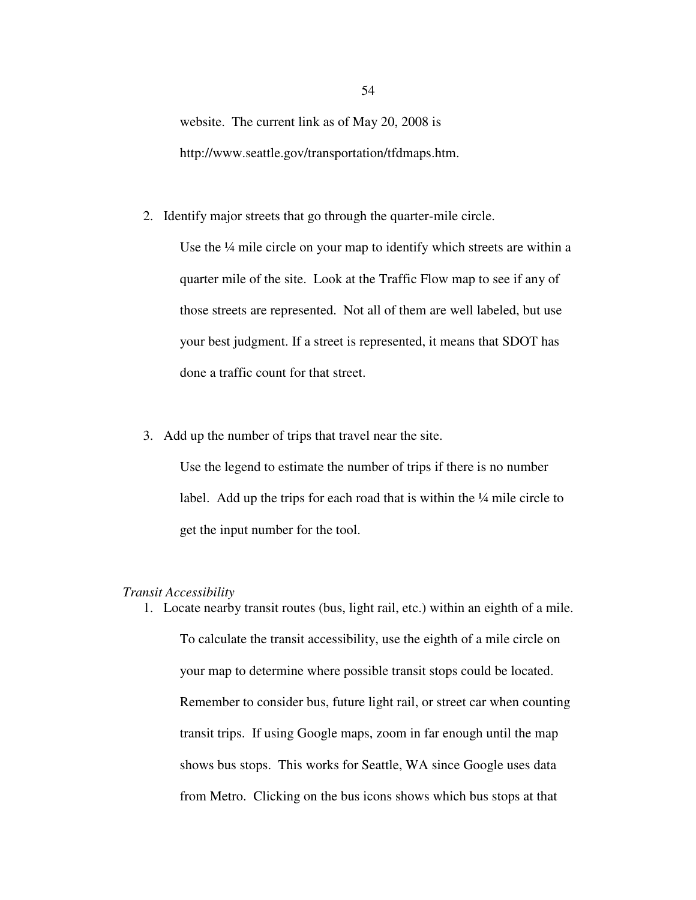website. The current link as of May 20, 2008 is http://www.seattle.gov/transportation/tfdmaps.htm.

2. Identify major streets that go through the quarter-mile circle.

Use the ¼ mile circle on your map to identify which streets are within a quarter mile of the site. Look at the Traffic Flow map to see if any of those streets are represented. Not all of them are well labeled, but use your best judgment. If a street is represented, it means that SDOT has done a traffic count for that street.

3. Add up the number of trips that travel near the site.

Use the legend to estimate the number of trips if there is no number label. Add up the trips for each road that is within the ¼ mile circle to get the input number for the tool.

# *Transit Accessibility*

1. Locate nearby transit routes (bus, light rail, etc.) within an eighth of a mile. To calculate the transit accessibility, use the eighth of a mile circle on your map to determine where possible transit stops could be located. Remember to consider bus, future light rail, or street car when counting transit trips. If using Google maps, zoom in far enough until the map shows bus stops. This works for Seattle, WA since Google uses data from Metro. Clicking on the bus icons shows which bus stops at that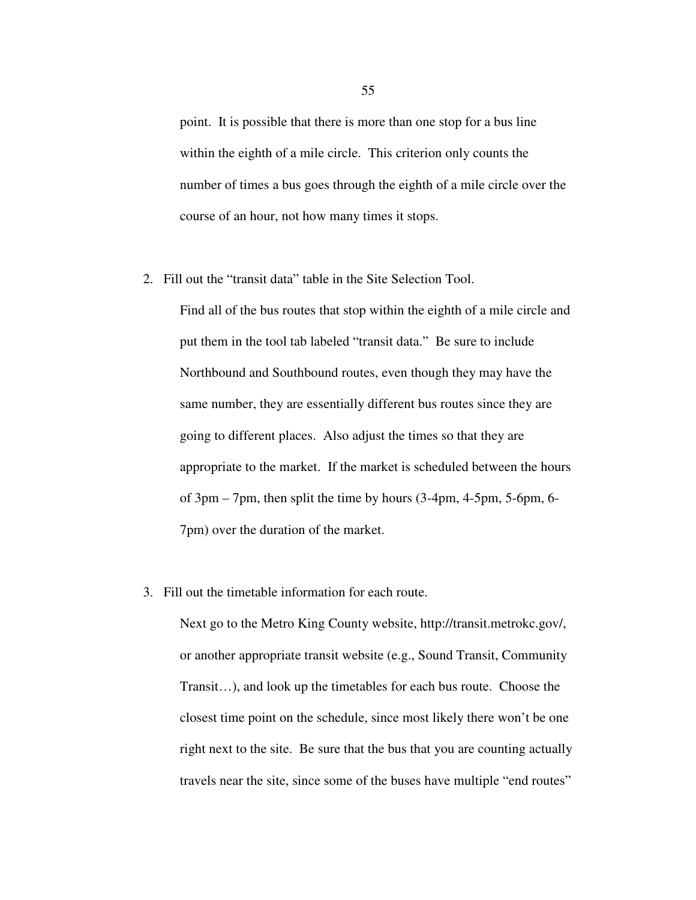point. It is possible that there is more than one stop for a bus line within the eighth of a mile circle. This criterion only counts the number of times a bus goes through the eighth of a mile circle over the course of an hour, not how many times it stops.

2. Fill out the "transit data" table in the Site Selection Tool.

Find all of the bus routes that stop within the eighth of a mile circle and put them in the tool tab labeled "transit data." Be sure to include Northbound and Southbound routes, even though they may have the same number, they are essentially different bus routes since they are going to different places. Also adjust the times so that they are appropriate to the market. If the market is scheduled between the hours of 3pm – 7pm, then split the time by hours (3-4pm, 4-5pm, 5-6pm, 6- 7pm) over the duration of the market.

3. Fill out the timetable information for each route.

Next go to the Metro King County website, http://transit.metrokc.gov/, or another appropriate transit website (e.g., Sound Transit, Community Transit…), and look up the timetables for each bus route. Choose the closest time point on the schedule, since most likely there won't be one right next to the site. Be sure that the bus that you are counting actually travels near the site, since some of the buses have multiple "end routes"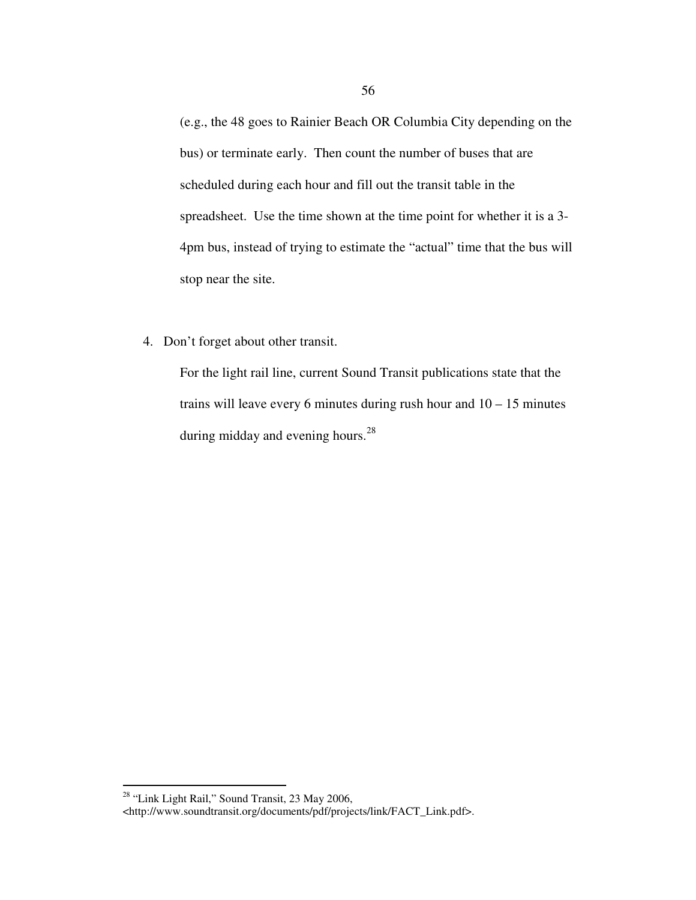(e.g., the 48 goes to Rainier Beach OR Columbia City depending on the bus) or terminate early. Then count the number of buses that are scheduled during each hour and fill out the transit table in the spreadsheet. Use the time shown at the time point for whether it is a 3- 4pm bus, instead of trying to estimate the "actual" time that the bus will stop near the site.

4. Don't forget about other transit.

For the light rail line, current Sound Transit publications state that the trains will leave every 6 minutes during rush hour and  $10 - 15$  minutes during midday and evening hours.<sup>28</sup>

 $\overline{a}$ 

 $28$  "Link Light Rail," Sound Transit, 23 May 2006,

<sup>&</sup>lt;http://www.soundtransit.org/documents/pdf/projects/link/FACT\_Link.pdf>.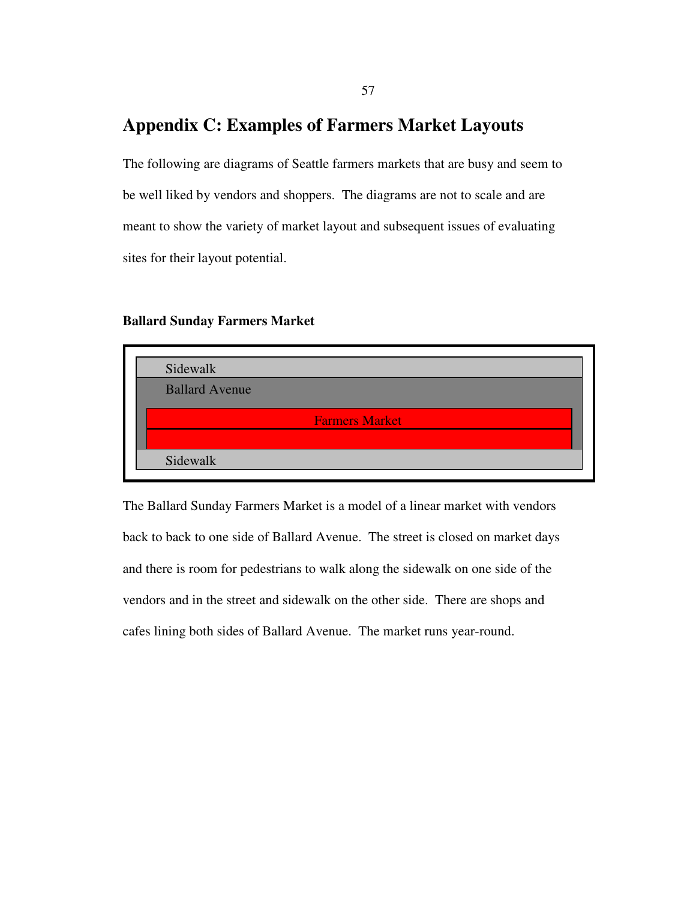# **Appendix C: Examples of Farmers Market Layouts**

The following are diagrams of Seattle farmers markets that are busy and seem to be well liked by vendors and shoppers. The diagrams are not to scale and are meant to show the variety of market layout and subsequent issues of evaluating sites for their layout potential.

# **Ballard Sunday Farmers Market**



The Ballard Sunday Farmers Market is a model of a linear market with vendors back to back to one side of Ballard Avenue. The street is closed on market days and there is room for pedestrians to walk along the sidewalk on one side of the vendors and in the street and sidewalk on the other side. There are shops and cafes lining both sides of Ballard Avenue. The market runs year-round.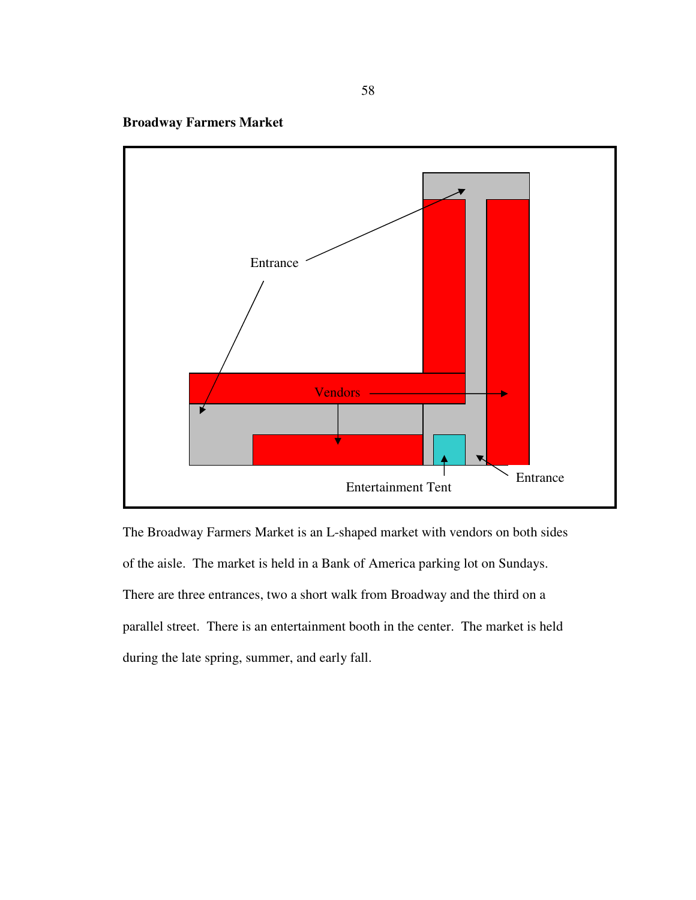**Broadway Farmers Market** 



The Broadway Farmers Market is an L-shaped market with vendors on both sides of the aisle. The market is held in a Bank of America parking lot on Sundays. There are three entrances, two a short walk from Broadway and the third on a parallel street. There is an entertainment booth in the center. The market is held during the late spring, summer, and early fall.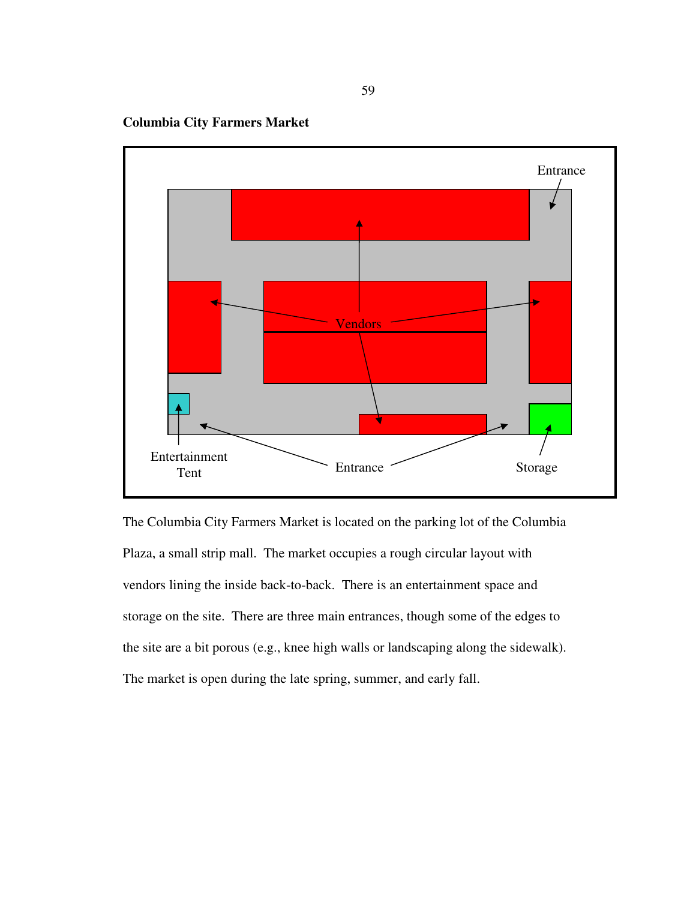**Columbia City Farmers Market** 



The Columbia City Farmers Market is located on the parking lot of the Columbia Plaza, a small strip mall. The market occupies a rough circular layout with vendors lining the inside back-to-back. There is an entertainment space and storage on the site. There are three main entrances, though some of the edges to the site are a bit porous (e.g., knee high walls or landscaping along the sidewalk). The market is open during the late spring, summer, and early fall.